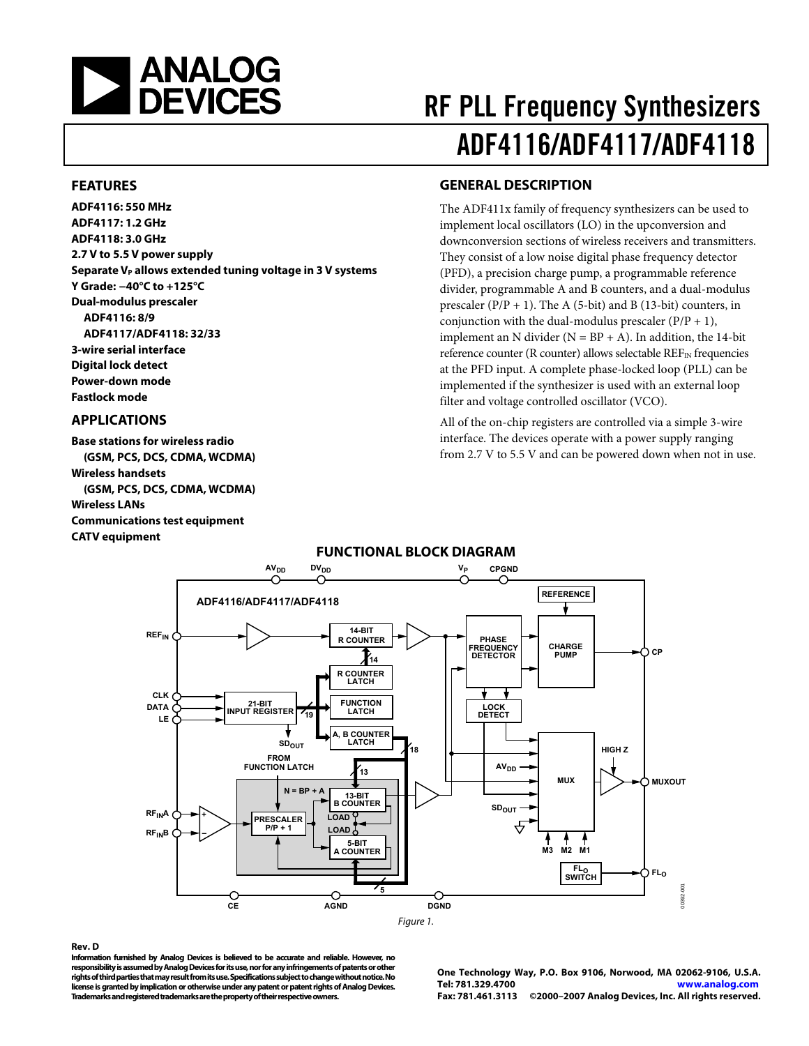<span id="page-0-0"></span>

### **FEATURES**

**ADF4116: 550 MHz ADF4117: 1.2 GHz ADF4118: 3.0 GHz 2.7 V to 5.5 V power supply**  Separate V<sub>P</sub> allows extended tuning voltage in 3 V systems **Y Grade: −40°C to +125°C Dual-modulus prescaler ADF4116: 8/9 ADF4117/ADF4118: 32/33 3-wire serial interface Digital lock detect Power-down mode Fastlock mode** 

### **APPLICATIONS**

**Base stations for wireless radio (GSM, PCS, DCS, CDMA, WCDMA) Wireless handsets (GSM, PCS, DCS, CDMA, WCDMA) Wireless LANs Communications test equipment CATV equipment** 

# RF PLL Frequency Synthesizers ADF4116/ADF4117/ADF4118

### **GENERAL DESCRIPTION**

The ADF411x family of frequency synthesizers can be used to implement local oscillators (LO) in the upconversion and downconversion sections of wireless receivers and transmitters. They consist of a low noise digital phase frequency detector (PFD), a precision charge pump, a programmable reference divider, programmable A and B counters, and a dual-modulus prescaler ( $P/P + 1$ ). The A (5-bit) and B (13-bit) counters, in conjunction with the dual-modulus prescaler  $(P/P + 1)$ , implement an N divider ( $N = BP + A$ ). In addition, the 14-bit reference counter (R counter) allows selectable REF<sub>IN</sub> frequencies at the PFD input. A complete phase-locked loop (PLL) can be implemented if the synthesizer is used with an external loop filter and voltage controlled oscillator (VCO).

All of the on-chip registers are controlled via a simple 3-wire interface. The devices operate with a power supply ranging from 2.7 V to 5.5 V and can be powered down when not in use.



#### **Rev. D**

**Information furnished by Analog Devices is believed to be accurate and reliable. However, no responsibility is assumed by Analog Devices for its use, nor for any infringements of patents or other rights of third parties that may result from its use. Specifications subject to change without notice. No license is granted by implication or otherwise under any patent or patent rights of Analog Devices. Trademarks and registered trademarks are the property of their respective owners.** 

**One Technology Way, P.O. Box 9106, Norwood, MA 02062-9106, U.S.A. Tel: 781.329.4700 www.analog.com Fax: 781.461.3113 ©2000–2007 Analog Devices, Inc. All rights reserved.** 

## **FUNCTIONAL BLOCK DIAGRAM**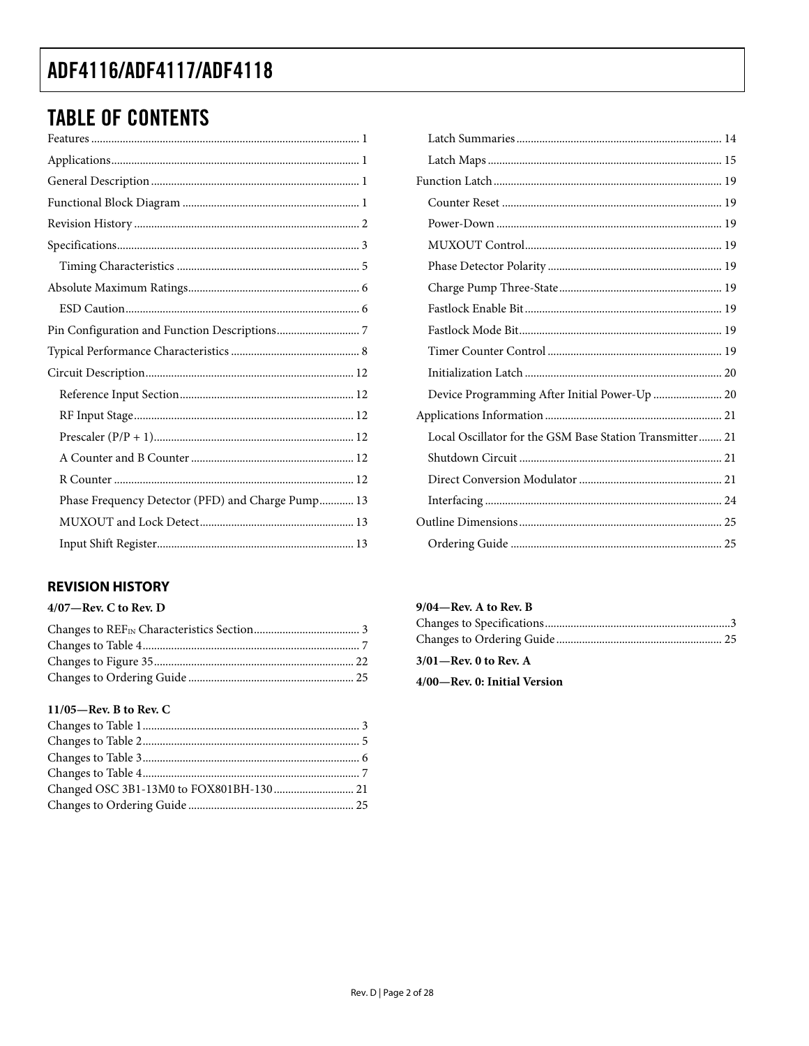# <span id="page-1-0"></span>**TABLE OF CONTENTS**

| Phase Frequency Detector (PFD) and Charge Pump 13 |
|---------------------------------------------------|
|                                                   |
|                                                   |

## **REVISION HISTORY**

### $4/07$ —Rev. C to Rev. D

### 11/05-Rev. B to Rev. C

| Device Programming After Initial Power-Up  20            |  |
|----------------------------------------------------------|--|
|                                                          |  |
| Local Oscillator for the GSM Base Station Transmitter 21 |  |
|                                                          |  |
|                                                          |  |
|                                                          |  |
|                                                          |  |
|                                                          |  |

### 9/04-Rev. A to Rev. B

| $3/01$ —Rev. 0 to Rev. A     |  |
|------------------------------|--|
| 4/00—Rev. 0: Initial Version |  |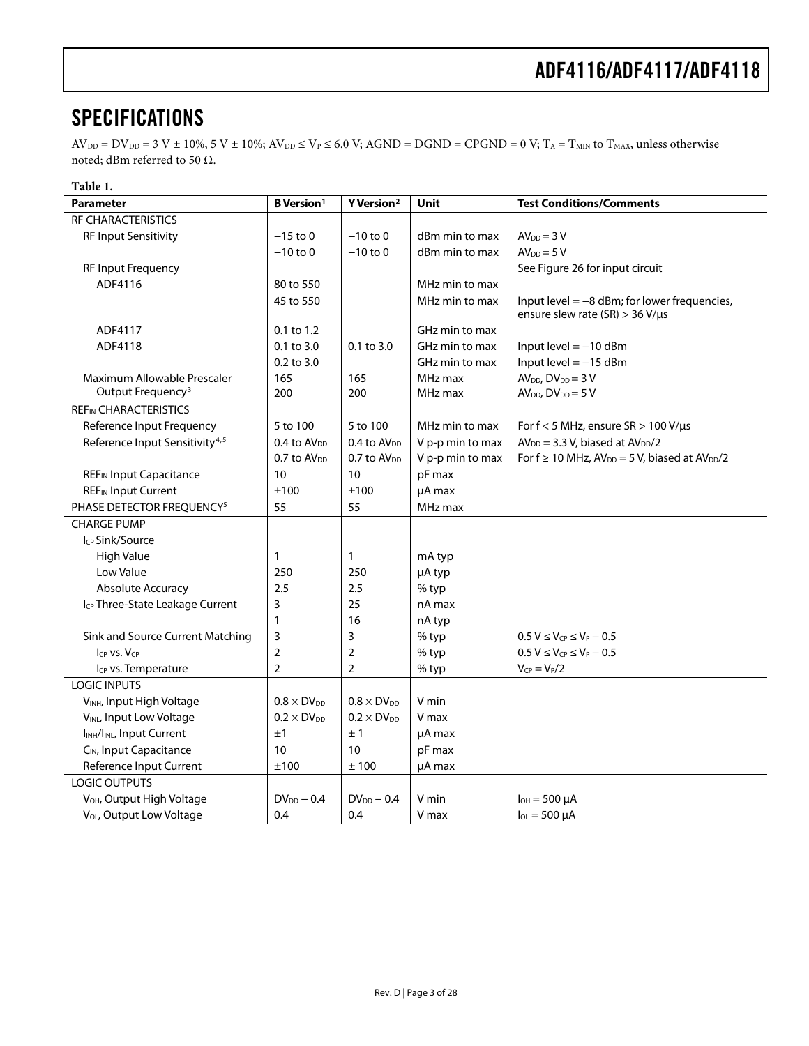# <span id="page-2-0"></span>**SPECIFICATIONS**

 $AV_{DD} = DV_{DD} = 3 V ± 10\%, 5 V ± 10\%; AV_{DD} \le V_P \le 6.0 V; AGND = DGND = CPGND = 0 V; T_A = T_{MIN}$  to  $T_{MAX}$ , unless otherwise noted; dBm referred to 50 Ω.

| Table 1.                                           |                               |                         |                  |                                                                                           |
|----------------------------------------------------|-------------------------------|-------------------------|------------------|-------------------------------------------------------------------------------------------|
| <b>Parameter</b>                                   | <b>B</b> Version <sup>1</sup> | Y Version <sup>2</sup>  | <b>Unit</b>      | <b>Test Conditions/Comments</b>                                                           |
| <b>RF CHARACTERISTICS</b>                          |                               |                         |                  |                                                                                           |
| <b>RF Input Sensitivity</b>                        | $-15$ to 0                    | $-10$ to 0              | dBm min to max   | $AVDD = 3 V$                                                                              |
|                                                    | $-10$ to 0                    | $-10$ to 0              | dBm min to max   | $AVDD = 5V$                                                                               |
| <b>RF Input Frequency</b>                          |                               |                         |                  | See Figure 26 for input circuit                                                           |
| ADF4116                                            | 80 to 550                     |                         | MHz min to max   |                                                                                           |
|                                                    | 45 to 550                     |                         | MHz min to max   | Input level $=$ $-8$ dBm; for lower frequencies,<br>ensure slew rate (SR) > 36 V/ $\mu$ s |
| ADF4117                                            | 0.1 to 1.2                    |                         | GHz min to max   |                                                                                           |
| ADF4118                                            | $0.1$ to $3.0$                | $0.1$ to $3.0$          | GHz min to max   | Input level $= -10$ dBm                                                                   |
|                                                    | 0.2 to 3.0                    |                         | GHz min to max   | Input level $= -15$ dBm                                                                   |
| Maximum Allowable Prescaler                        | 165                           | 165                     | MHz max          | $AVDD, DVDD = 3 V$                                                                        |
| Output Frequency <sup>3</sup>                      | 200                           | 200                     | MHz max          | $AVDD, DVDD = 5 V$                                                                        |
| <b>REFIN CHARACTERISTICS</b>                       |                               |                         |                  |                                                                                           |
| Reference Input Frequency                          | 5 to 100                      | 5 to 100                | MHz min to max   | For $f < 5$ MHz, ensure $SR > 100$ V/ $\mu s$                                             |
| Reference Input Sensitivity <sup>4,5</sup>         | 0.4 to AV <sub>DD</sub>       | 0.4 to AV <sub>DD</sub> | V p-p min to max | $AVDD = 3.3 V, biased at AVDD/2$                                                          |
|                                                    | $0.7$ to $AV_{DD}$            | $0.7$ to $AV_{DD}$      | V p-p min to max | For $f \ge 10$ MHz, $AV_{DD} = 5$ V, biased at $AV_{DD}/2$                                |
| <b>REF<sub>IN</sub></b> Input Capacitance          | 10                            | 10                      | pF max           |                                                                                           |
| <b>REF<sub>IN</sub></b> Input Current              | ±100                          | ±100                    | µA max           |                                                                                           |
| PHASE DETECTOR FREQUENCY <sup>5</sup>              | 55                            | 55                      | MHz max          |                                                                                           |
| <b>CHARGE PUMP</b>                                 |                               |                         |                  |                                                                                           |
| Icp Sink/Source                                    |                               |                         |                  |                                                                                           |
| <b>High Value</b>                                  | $\mathbf{1}$                  | 1                       | mA typ           |                                                                                           |
| Low Value                                          | 250                           | 250                     | µA typ           |                                                                                           |
| <b>Absolute Accuracy</b>                           | 2.5                           | 2.5                     | % typ            |                                                                                           |
| I <sub>CP</sub> Three-State Leakage Current        | 3                             | 25                      | nA max           |                                                                                           |
|                                                    | $\mathbf{1}$                  | 16                      | nA typ           |                                                                                           |
| Sink and Source Current Matching                   | 3                             | 3                       | % typ            | $0.5 V \leq V_{CP} \leq V_P - 0.5$                                                        |
| ICP VS. VCP                                        | $\overline{2}$                | $\overline{2}$          | % typ            | $0.5 V \le V_{CP} \le V_P - 0.5$                                                          |
| I <sub>CP</sub> vs. Temperature                    | $\overline{2}$                | $\overline{2}$          | % typ            | $V_{CP} = V_P/2$                                                                          |
| <b>LOGIC INPUTS</b>                                |                               |                         |                  |                                                                                           |
| VINH, Input High Voltage                           | $0.8 \times DV_{DD}$          | $0.8 \times DV_{DD}$    | V min            |                                                                                           |
| VINL, Input Low Voltage                            | $0.2 \times DV_{DD}$          | $0.2 \times DV_{DD}$    | V max            |                                                                                           |
| I <sub>INH</sub> /I <sub>INL</sub> , Input Current | ±1                            | ±1                      | µA max           |                                                                                           |
| CIN, Input Capacitance                             | 10                            | 10                      | pF max           |                                                                                           |
| Reference Input Current                            | ±100                          | ±100                    | µA max           |                                                                                           |
| <b>LOGIC OUTPUTS</b>                               |                               |                         |                  |                                                                                           |
| V <sub>OH</sub> , Output High Voltage              | $DV_{DD} - 0.4$               | $DV_{DD} - 0.4$         | V min            | $I_{OH} = 500 \mu A$                                                                      |
| V <sub>OL</sub> , Output Low Voltage               | 0.4                           | 0.4                     | V max            | $I_{OL} = 500 \mu A$                                                                      |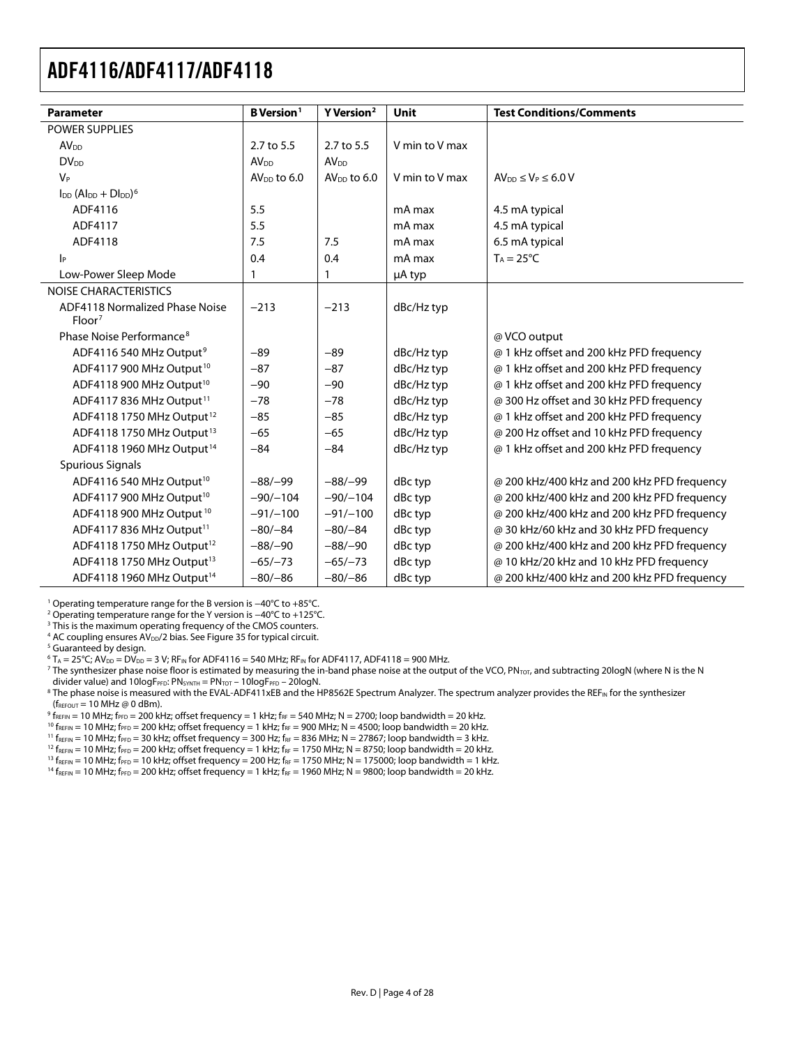<span id="page-3-0"></span>

| <b>Parameter</b>                            | <b>B</b> Version <sup>1</sup> | Y Version <sup>2</sup>    | <b>Unit</b>    | <b>Test Conditions/Comments</b>             |
|---------------------------------------------|-------------------------------|---------------------------|----------------|---------------------------------------------|
| <b>POWER SUPPLIES</b>                       |                               |                           |                |                                             |
| <b>AV<sub>DD</sub></b>                      | 2.7 to 5.5                    | 2.7 to 5.5                | V min to V max |                                             |
| <b>DV<sub>DD</sub></b>                      | <b>AV<sub>DD</sub></b>        | <b>AV<sub>DD</sub></b>    |                |                                             |
| $V_P$                                       | AV <sub>DD</sub> to 6.0       | AV <sub>DD</sub> to $6.0$ | V min to V max | $AV_{DD} \leq V_P \leq 6.0 V$               |
| $\ln (Al_{DD} + D \ln b)^6$                 |                               |                           |                |                                             |
| ADF4116                                     | 5.5                           |                           | mA max         | 4.5 mA typical                              |
| ADF4117                                     | 5.5                           |                           | mA max         | 4.5 mA typical                              |
| ADF4118                                     | 7.5                           | 7.5                       | mA max         | 6.5 mA typical                              |
| $ _{\mathsf{P}}$                            | 0.4                           | 0.4                       | mA max         | $T_A = 25^{\circ}C$                         |
| Low-Power Sleep Mode                        | 1                             | 1                         | µA typ         |                                             |
| NOISE CHARACTERISTICS                       |                               |                           |                |                                             |
| ADF4118 Normalized Phase Noise<br>$Floor^7$ | $-213$                        | $-213$                    | dBc/Hz typ     |                                             |
| Phase Noise Performance <sup>8</sup>        |                               |                           |                | @ VCO output                                |
| ADF4116 540 MHz Output <sup>9</sup>         | $-89$                         | $-89$                     | dBc/Hz typ     | @ 1 kHz offset and 200 kHz PFD frequency    |
| ADF4117 900 MHz Output <sup>10</sup>        | $-87$                         | $-87$                     | dBc/Hz typ     | @ 1 kHz offset and 200 kHz PFD frequency    |
| ADF4118 900 MHz Output <sup>10</sup>        | $-90$                         | $-90$                     | dBc/Hz typ     | @ 1 kHz offset and 200 kHz PFD frequency    |
| ADF4117 836 MHz Output <sup>11</sup>        | $-78$                         | $-78$                     | dBc/Hz typ     | @ 300 Hz offset and 30 kHz PFD frequency    |
| ADF4118 1750 MHz Output <sup>12</sup>       | $-85$                         | $-85$                     | dBc/Hz typ     | @ 1 kHz offset and 200 kHz PFD frequency    |
| ADF4118 1750 MHz Output <sup>13</sup>       | $-65$                         | $-65$                     | dBc/Hz typ     | @ 200 Hz offset and 10 kHz PFD frequency    |
| ADF4118 1960 MHz Output <sup>14</sup>       | $-84$                         | $-84$                     | dBc/Hz typ     | @ 1 kHz offset and 200 kHz PFD frequency    |
| <b>Spurious Signals</b>                     |                               |                           |                |                                             |
| ADF4116 540 MHz Output <sup>10</sup>        | $-88/-99$                     | $-88/-99$                 | dBc typ        | @ 200 kHz/400 kHz and 200 kHz PFD frequency |
| ADF4117 900 MHz Output <sup>10</sup>        | $-90/-104$                    | $-90/-104$                | dBc typ        | @ 200 kHz/400 kHz and 200 kHz PFD frequency |
| ADF4118 900 MHz Output <sup>10</sup>        | $-91/-100$                    | $-91/-100$                | dBc typ        | @ 200 kHz/400 kHz and 200 kHz PFD frequency |
| ADF4117 836 MHz Output <sup>11</sup>        | $-80/-84$                     | $-80/-84$                 | dBc typ        | @ 30 kHz/60 kHz and 30 kHz PFD frequency    |
| ADF4118 1750 MHz Output <sup>12</sup>       | $-88/-90$                     | $-88/-90$                 | dBc typ        | @ 200 kHz/400 kHz and 200 kHz PFD frequency |
| ADF4118 1750 MHz Output <sup>13</sup>       | $-65/-73$                     | $-65/-73$                 | dBc typ        | @ 10 kHz/20 kHz and 10 kHz PFD frequency    |
| ADF4118 1960 MHz Output <sup>14</sup>       | $-80/-86$                     | $-80/-86$                 | dBc typ        | @ 200 kHz/400 kHz and 200 kHz PFD frequency |

1 Operating temperature range for the B version is −40°C to +85°C.

2 Operating temperature range for the Y version is −40°C to +125°C.

 $^3$  This is the maximum operating frequency of the CMOS counters.<br>4 AC coupling ensures AV  $_{2}/2$  bias. See Figure 35 for typical circuit.

<sup>4</sup> AC coupling ensures  $AV_{DD}/2$  bias. Se[e Figure 35 fo](#page-21-0)r typical circuit.

<sup>5</sup> Guaranteed by design.

 $^6$  T<sub>A</sub> = 25°C; AV<sub>DD</sub> = DV<sub>DD</sub> = 3 V; RF<sub>IN</sub> for ADF4116 = 540 MHz; RF<sub>IN</sub> for ADF4117, ADF4118 = 900 MHz.<br><sup>7</sup> The synthesizer phase noise floor is estimated by measuring the in-band phase noise at the outpu

<sup>7</sup> The synthesizer phase noise floor is estimated by measuring the in-band phase noise at the output of the VCO, PN<sub>TOT</sub>, and subtracting 20logN (where N is the N

divider value) and 10logF<sub>PFD</sub>: PN<sub>SYNTH</sub> = PN<sub>TOT</sub> – 10logF<sub>PFD</sub> – 20logN.<br><sup>8</sup> The phase noise is measured with the EVAL-ADF411xEB and the HP8562E Spectrum Analyzer. The spectrum analyzer provides the REF<sub>IN</sub> for the synt  ${\rm (f_{REFOUT}=10\; MHz}$  @ 0 dBm).<br><sup>9</sup> f<sub>REFIN</sub> = 10 MHz; f<sub>PFD</sub> = 200 kHz; offset frequency = 1 kHz; f<sub>RF</sub> = 540 MHz; N = 2700; loop bandwidth = 20 kHz.

 $^{10}$  f<sub>REFIN</sub> = 10 MHz;  $F_{\text{PPD}}$  = 200 kHz; offset frequency = 1 kHz;  $F_{\text{RF}}$  = 900 MHz; N = 4500; loop bandwidth = 20 kHz.<br><sup>11</sup> f<sub>REFIN</sub> = 10 MHz;  $F_{\text{PPD}}$  = 200 kHz; offset frequency = 300 Hz;  $F_{\text{RF}}$  = 836 MH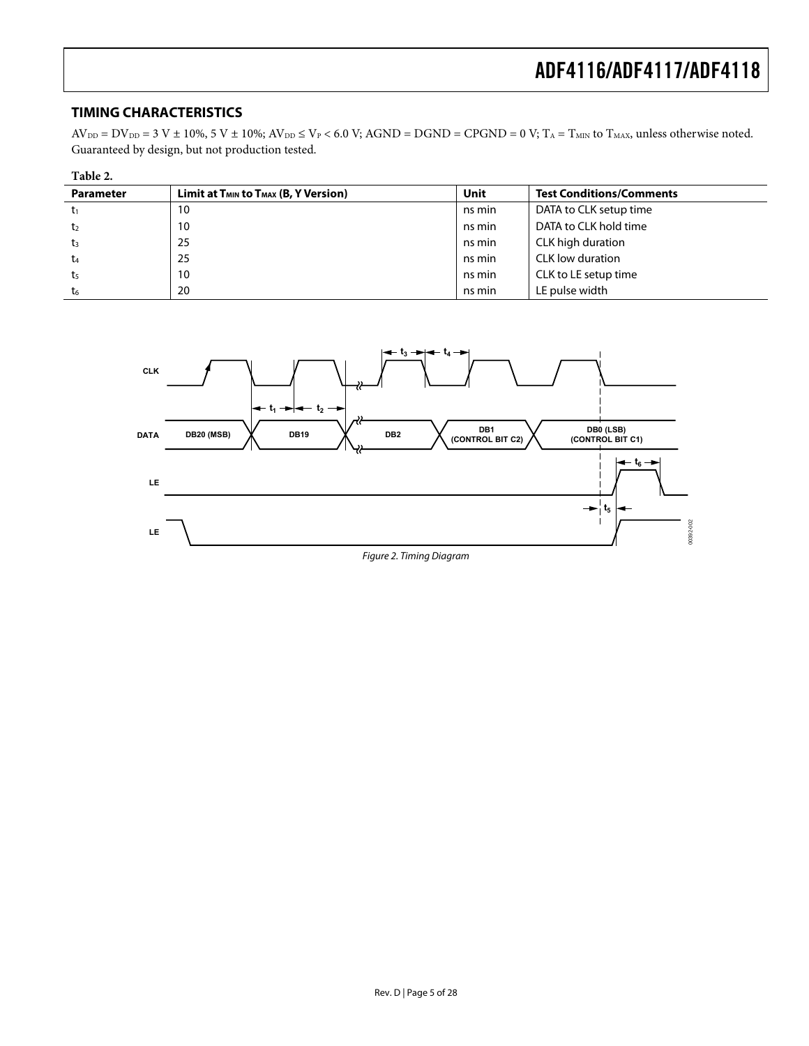### <span id="page-4-0"></span>**TIMING CHARACTERISTICS**

 $AV_{DD} = DV_{DD} = 3 V ± 10\%, 5 V ± 10\%; AV_{DD} \leq V_P < 6.0 V; AGND = DGND = CPGND = 0 V; T_A = T_{MIN}$  to  $T_{MAX}$ , unless otherwise noted. Guaranteed by design, but not production tested.

| Table 2.         |                                                |        |                                 |  |  |
|------------------|------------------------------------------------|--------|---------------------------------|--|--|
| <b>Parameter</b> | Limit at $T_{MIN}$ to $T_{MAX}$ (B, Y Version) | Unit   | <b>Test Conditions/Comments</b> |  |  |
| tı               | 10                                             | ns min | DATA to CLK setup time          |  |  |
| t <sub>2</sub>   | 10                                             | ns min | DATA to CLK hold time           |  |  |
| $t_3$            | 25                                             | ns min | CLK high duration               |  |  |
| $t_{4}$          | 25                                             | ns min | CLK low duration                |  |  |
| t <sub>5</sub>   | 10                                             | ns min | CLK to LE setup time            |  |  |
| t6               | 20                                             | ns min | LE pulse width                  |  |  |

<span id="page-4-1"></span>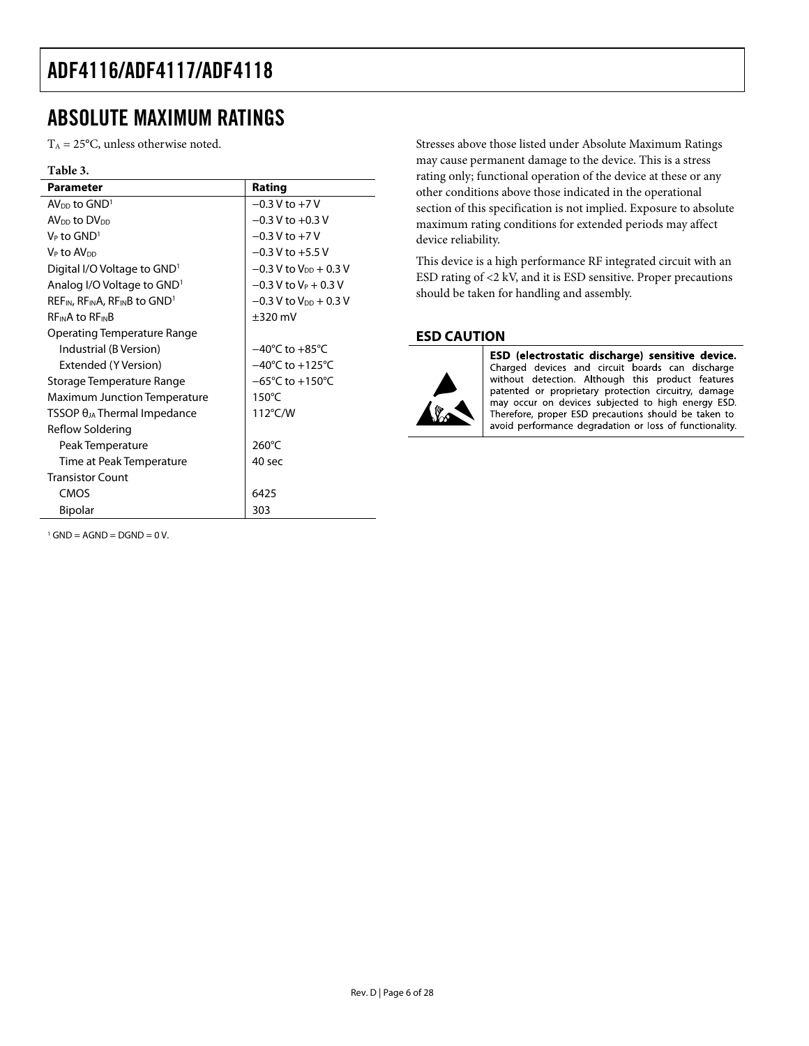## <span id="page-5-0"></span>ABSOLUTE MAXIMUM RATINGS

 $T_A = 25$ °C, unless otherwise noted.

### **Table 3.**

| Parameter                                      | Rating                              |
|------------------------------------------------|-------------------------------------|
| $AV_{DD}$ to $GND1$                            | $-0.3$ V to $+7$ V                  |
| AV <sub>DD</sub> to DV <sub>DD</sub>           | $-0.3 V$ to $+0.3 V$                |
| $V_P$ to $GND^1$                               | $-0.3$ V to $+7$ V                  |
| V <sub>P</sub> to AV <sub>DD</sub>             | $-0.3$ V to $+5.5$ V                |
| Digital I/O Voltage to GND <sup>1</sup>        | $-0.3$ V to V <sub>DD</sub> + 0.3 V |
| Analog I/O Voltage to GND <sup>1</sup>         | $-0.3$ V to V <sub>P</sub> + 0.3 V  |
| $REF_{IN}$ , $RF_{IN}A$ , $RF_{IN}B$ to $GNDT$ | $-0.3$ V to V <sub>DD</sub> + 0.3 V |
| <b>REINA to REINB</b>                          | $\pm 320$ mV                        |
| Operating Temperature Range                    |                                     |
| Industrial (B Version)                         | $-40^{\circ}$ C to $+85^{\circ}$ C  |
| Extended (Y Version)                           | $-40^{\circ}$ C to $+125^{\circ}$ C |
| Storage Temperature Range                      | $-65^{\circ}$ C to $+150^{\circ}$ C |
| Maximum Junction Temperature                   | $150^{\circ}$ C                     |
| $TSSOP \theta_{JA}$ Thermal Impedance          | 112°C/W                             |
| Reflow Soldering                               |                                     |
| Peak Temperature                               | $260^{\circ}$ C                     |
| Time at Peak Temperature                       | 40 sec                              |
| <b>Transistor Count</b>                        |                                     |
| CMOS                                           | 6425                                |
| Bipolar                                        | 303                                 |

 $1$  GND = AGND = DGND = 0 V.

Stresses above those listed under Absolute Maximum Ratings may cause permanent damage to the device. This is a stress rating only; functional operation of the device at these or any other conditions above those indicated in the operational section of this specification is not implied. Exposure to absolute maximum rating conditions for extended periods may affect device reliability.

This device is a high performance RF integrated circuit with an ESD rating of <2 kV, and it is ESD sensitive. Proper precautions should be taken for handling and assembly.

### **ESD CAUTION**



ESD (electrostatic discharge) sensitive device. Charged devices and circuit boards can discharge without detection. Although this product features patented or proprietary protection circuitry, damage may occur on devices subjected to high energy ESD. Therefore, proper ESD precautions should be taken to avoid performance degradation or loss of functionality.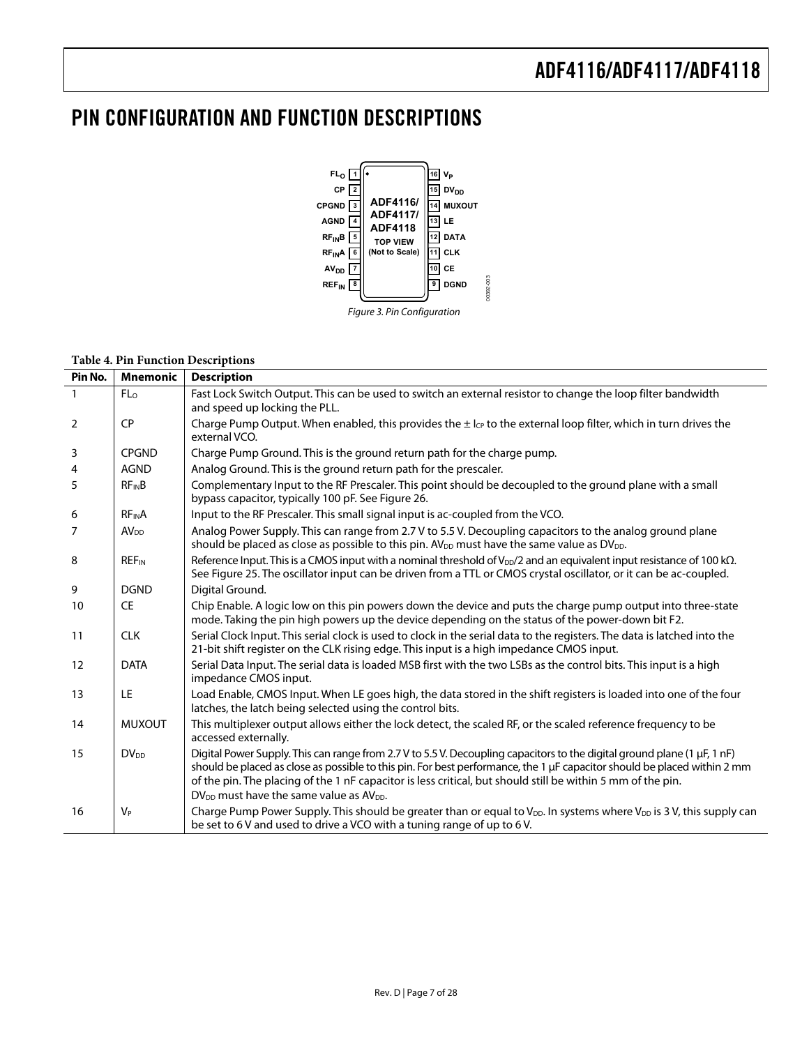# <span id="page-6-0"></span>PIN CONFIGURATION AND FUNCTION DESCRIPTIONS



#### **Table 4. Pin Function Descriptions**

| Pin No.        | <b>Mnemonic</b>         | <b>Description</b>                                                                                                                                                                                                                                                                                                                                                                                                       |
|----------------|-------------------------|--------------------------------------------------------------------------------------------------------------------------------------------------------------------------------------------------------------------------------------------------------------------------------------------------------------------------------------------------------------------------------------------------------------------------|
| $\mathbf{1}$   | FL <sub>o</sub>         | Fast Lock Switch Output. This can be used to switch an external resistor to change the loop filter bandwidth<br>and speed up locking the PLL.                                                                                                                                                                                                                                                                            |
| $\overline{2}$ | CP                      | Charge Pump Output. When enabled, this provides the $\pm$ l <sub>CP</sub> to the external loop filter, which in turn drives the<br>external VCO.                                                                                                                                                                                                                                                                         |
| 3              | <b>CPGND</b>            | Charge Pump Ground. This is the ground return path for the charge pump.                                                                                                                                                                                                                                                                                                                                                  |
| 4              | <b>AGND</b>             | Analog Ground. This is the ground return path for the prescaler.                                                                                                                                                                                                                                                                                                                                                         |
| 5              | <b>RFINB</b>            | Complementary Input to the RF Prescaler. This point should be decoupled to the ground plane with a small<br>bypass capacitor, typically 100 pF. See Figure 26.                                                                                                                                                                                                                                                           |
| 6              | <b>RFINA</b>            | Input to the RF Prescaler. This small signal input is ac-coupled from the VCO.                                                                                                                                                                                                                                                                                                                                           |
| $\overline{7}$ | <b>AV<sub>DD</sub></b>  | Analog Power Supply. This can range from 2.7 V to 5.5 V. Decoupling capacitors to the analog ground plane<br>should be placed as close as possible to this pin. AV <sub>DD</sub> must have the same value as DV <sub>DD</sub> .                                                                                                                                                                                          |
| 8              | <b>REF<sub>IN</sub></b> | Reference Input. This is a CMOS input with a nominal threshold of $V_{DD}/2$ and an equivalent input resistance of 100 k $\Omega$ .<br>See Figure 25. The oscillator input can be driven from a TTL or CMOS crystal oscillator, or it can be ac-coupled.                                                                                                                                                                 |
| 9              | <b>DGND</b>             | Digital Ground.                                                                                                                                                                                                                                                                                                                                                                                                          |
| 10             | <b>CE</b>               | Chip Enable. A logic low on this pin powers down the device and puts the charge pump output into three-state<br>mode. Taking the pin high powers up the device depending on the status of the power-down bit F2.                                                                                                                                                                                                         |
| 11             | <b>CLK</b>              | Serial Clock Input. This serial clock is used to clock in the serial data to the registers. The data is latched into the<br>21-bit shift register on the CLK rising edge. This input is a high impedance CMOS input.                                                                                                                                                                                                     |
| 12             | <b>DATA</b>             | Serial Data Input. The serial data is loaded MSB first with the two LSBs as the control bits. This input is a high<br>impedance CMOS input.                                                                                                                                                                                                                                                                              |
| 13             | LE                      | Load Enable, CMOS Input. When LE goes high, the data stored in the shift registers is loaded into one of the four<br>latches, the latch being selected using the control bits.                                                                                                                                                                                                                                           |
| 14             | <b>MUXOUT</b>           | This multiplexer output allows either the lock detect, the scaled RF, or the scaled reference frequency to be<br>accessed externally.                                                                                                                                                                                                                                                                                    |
| 15             | $DV_{DD}$               | Digital Power Supply. This can range from 2.7 V to 5.5 V. Decoupling capacitors to the digital ground plane (1 µF, 1 nF)<br>should be placed as close as possible to this pin. For best performance, the 1 µF capacitor should be placed within 2 mm<br>of the pin. The placing of the 1 nF capacitor is less critical, but should still be within 5 mm of the pin.<br>$DV_{DD}$ must have the same value as $AV_{DD}$ . |
| 16             | $V_P$                   | Charge Pump Power Supply. This should be greater than or equal to V <sub>DD</sub> . In systems where V <sub>DD</sub> is 3 V, this supply can<br>be set to 6 V and used to drive a VCO with a tuning range of up to 6 V.                                                                                                                                                                                                  |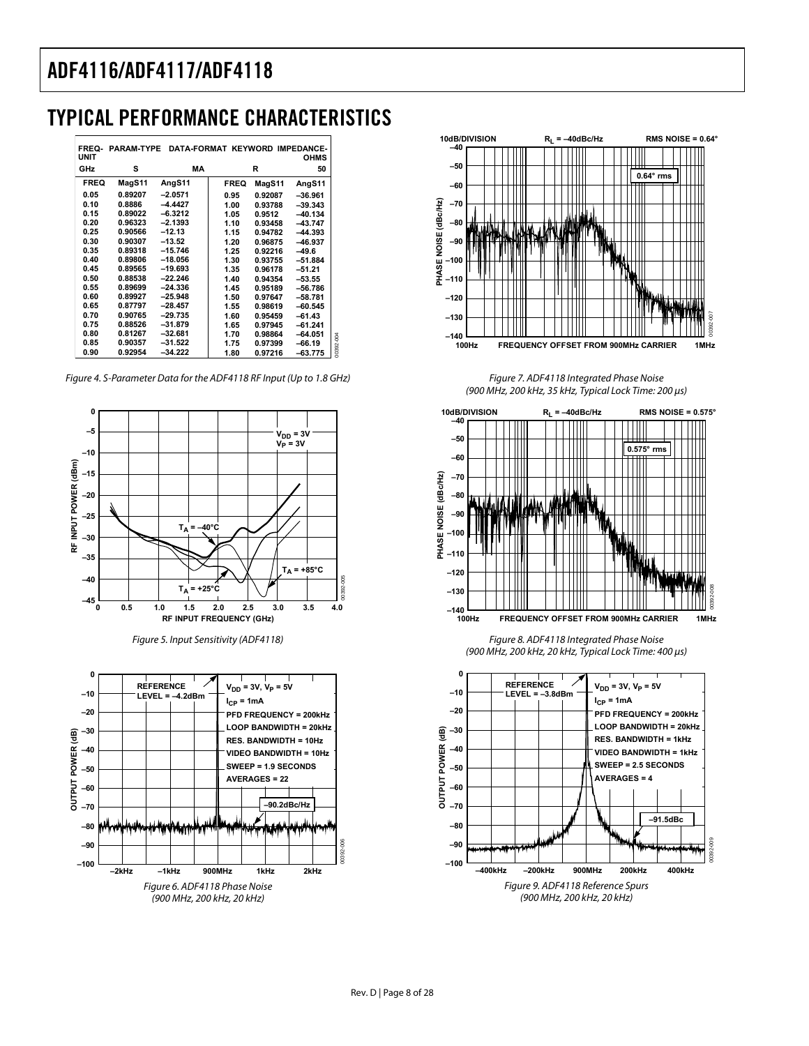# <span id="page-7-0"></span>TYPICAL PERFORMANCE CHARACTERISTICS

|           | <b>OHMS</b> |         |             | FREQ PARAM TYPE DATA FORMAT KEYWORD IMPEDANCE- |         | <b>UNIT</b> |
|-----------|-------------|---------|-------------|------------------------------------------------|---------|-------------|
|           | 50          | R       |             | MA                                             | s       | GHz         |
|           | AngS11      | MagS11  | <b>FREQ</b> | AngS11                                         | MagS11  | <b>FREQ</b> |
|           | $-36.961$   | 0.92087 | 0.95        | $-2.0571$                                      | 0.89207 | 0.05        |
|           | $-39.343$   | 0.93788 | 1.00        | $-4.4427$                                      | 0.8886  | 0.10        |
|           | $-40.134$   | 0.9512  | 1.05        | $-6.3212$                                      | 0.89022 | 0.15        |
|           | $-43.747$   | 0.93458 | 1.10        | $-2.1393$                                      | 0.96323 | 0.20        |
|           | $-44.393$   | 0.94782 | 1.15        | $-12.13$                                       | 0.90566 | 0.25        |
|           | $-46.937$   | 0.96875 | 1.20        | $-13.52$                                       | 0.90307 | 0.30        |
|           | $-49.6$     | 0.92216 | 1.25        | $-15.746$                                      | 0.89318 | 0.35        |
|           | $-51.884$   | 0.93755 | 1.30        | $-18.056$                                      | 0.89806 | 0.40        |
|           | $-51.21$    | 0.96178 | 1.35        | $-19.693$                                      | 0.89565 | 0.45        |
|           | $-53.55$    | 0.94354 | 1.40        | $-22.246$                                      | 0.88538 | 0.50        |
|           | $-56.786$   | 0.95189 | 1.45        | $-24.336$                                      | 0.89699 | 0.55        |
|           | $-58.781$   | 0.97647 | 1.50        | $-25.948$                                      | 0.89927 | 0.60        |
|           | $-60.545$   | 0.98619 | 1.55        | $-28.457$                                      | 0.87797 | 0.65        |
|           | $-61.43$    | 0.95459 | 1.60        | $-29.735$                                      | 0.90765 | 0.70        |
|           | $-61.241$   | 0.97945 | 1.65        | $-31.879$                                      | 0.88526 | 0.75        |
|           | $-64.051$   | 0.98864 | 1.70        | $-32.681$                                      | 0.81267 | 0.80        |
| 00392-004 | $-66.19$    | 0.97399 | 1.75        | $-31.522$                                      | 0.90357 | 0.85        |
|           | $-63.775$   | 0.97216 | 1.80        | $-34.222$                                      | 0.92954 | 0.90        |

Figure 4. S-Parameter Data for the ADF4118 RF Input (Up to 1.8 GHz)



Figure 5. Input Sensitivity (ADF4118)





Figure 7. ADF4118 Integrated Phase Noise (900 MHz, 200 kHz, 35 kHz, Typical Lock Time: 200 μs)



Figure 8. ADF4118 Integrated Phase Noise (900 MHz, 200 kHz, 20 kHz, Typical Lock Time: 400 μs)

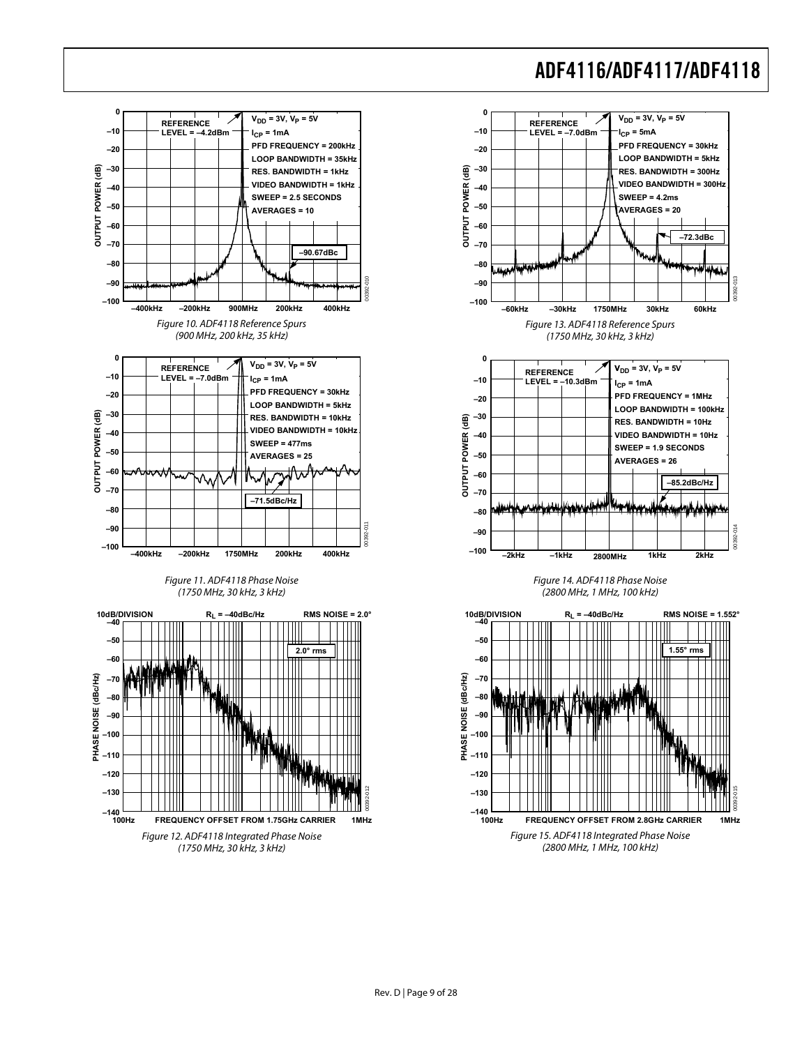

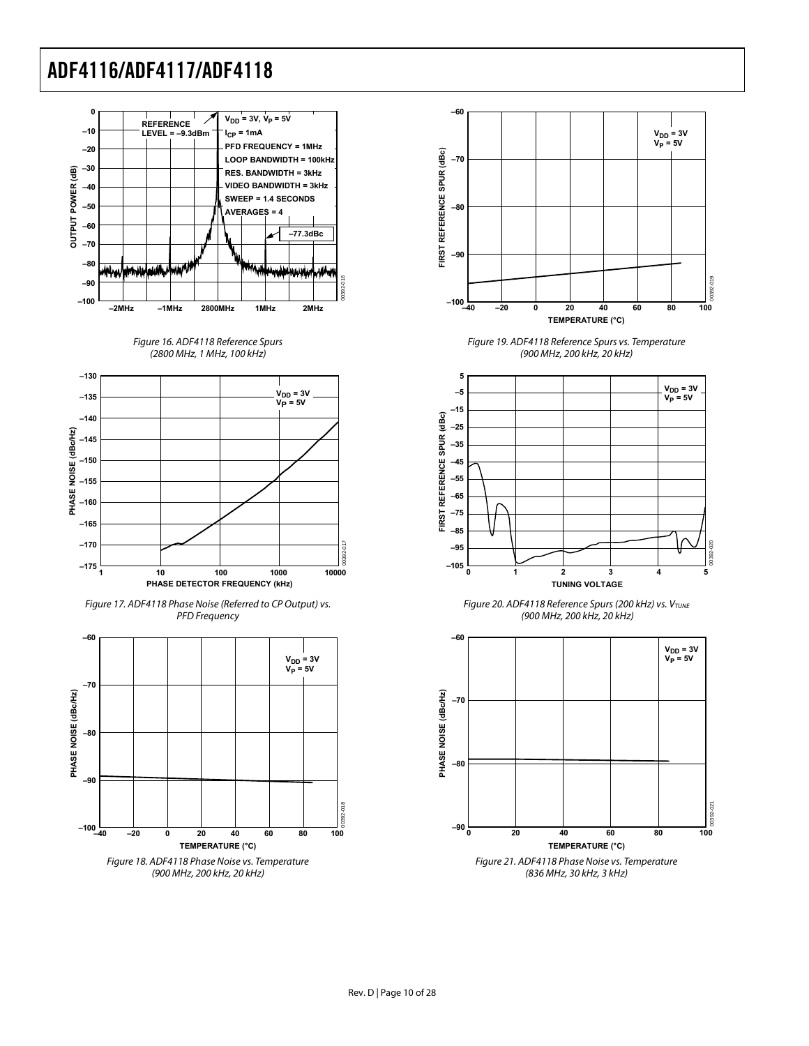

Figure 16. ADF4118 Reference Spurs (2800 MHz, 1 MHz, 100 kHz)









Figure 19. ADF4118 Reference Spurs vs. Temperature (900 MHz, 200 kHz, 20 kHz)



Figure 20. ADF4118 Reference Spurs (200 kHz) vs. VTUNE (900 MHz, 200 kHz, 20 kHz)



(836 MHz, 30 kHz, 3 kHz)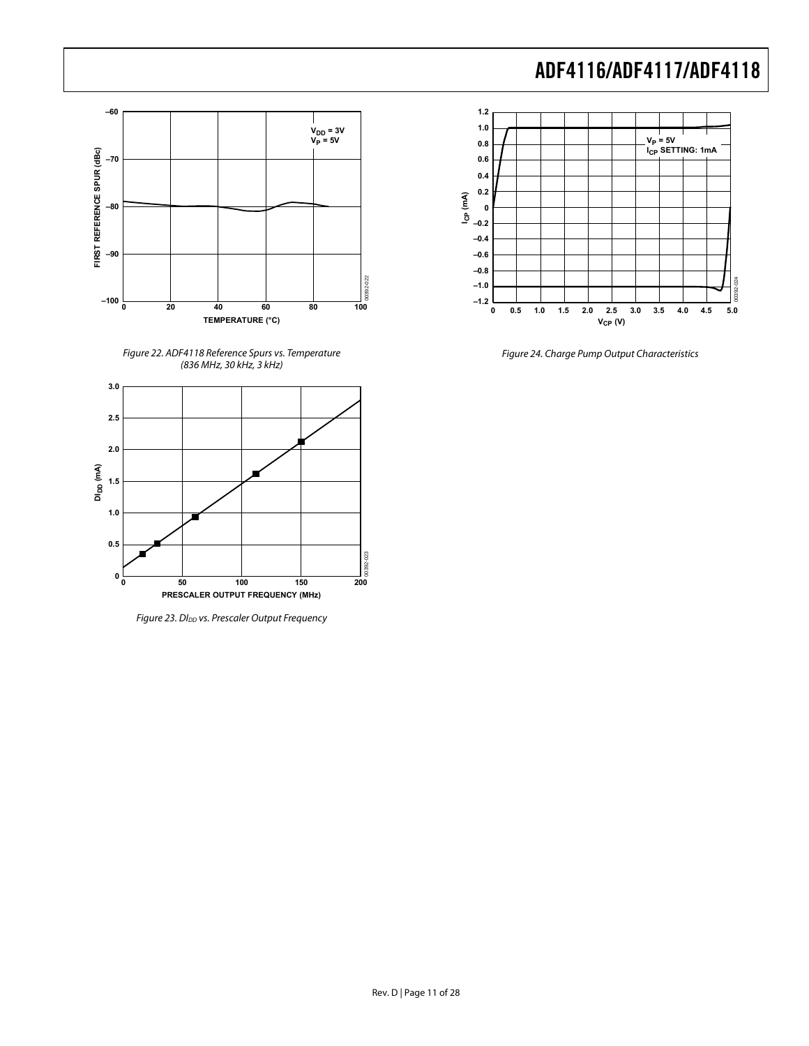

Figure 22. ADF4118 Reference Spurs vs. Temperature (836 MHz, 30 kHz, 3 kHz)



Figure 23. Dl<sub>DD</sub> vs. Prescaler Output Frequency



Figure 24. Charge Pump Output Characteristics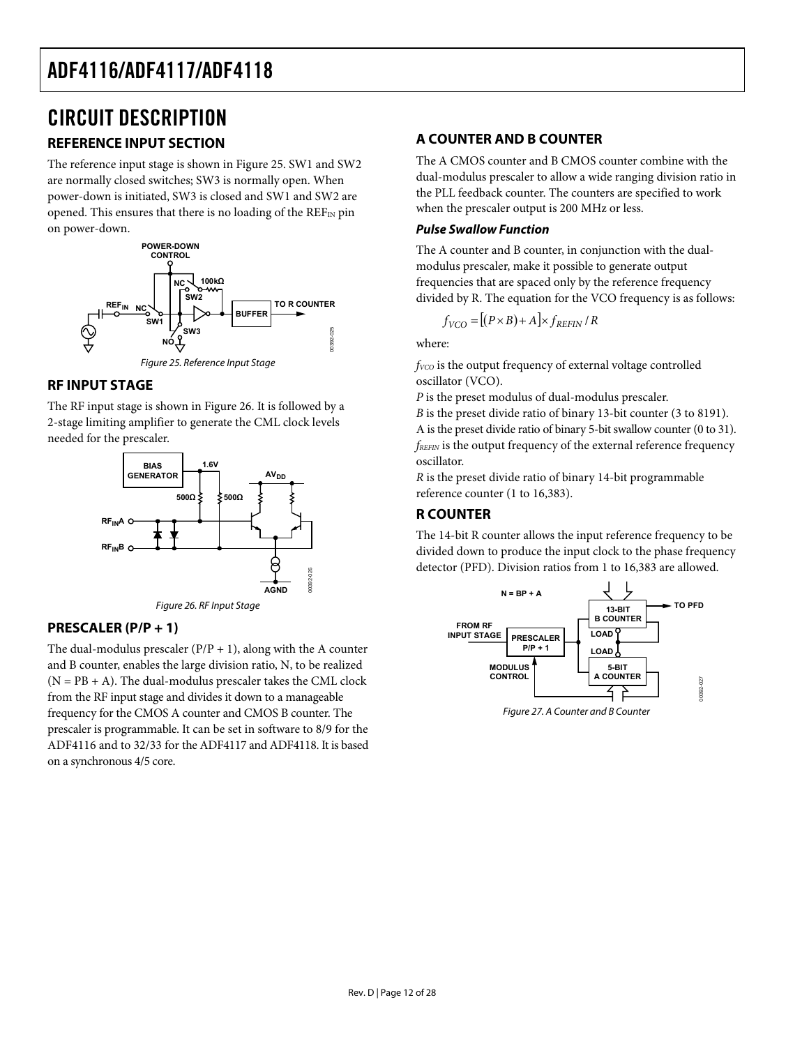# <span id="page-11-0"></span>CIRCUIT DESCRIPTION

## **REFERENCE INPUT SECTION**

The reference input stage is shown in [Figure 25](#page-11-2). SW1 and SW2 are normally closed switches; SW3 is normally open. When power-down is initiated, SW3 is closed and SW1 and SW2 are opened. This ensures that there is no loading of the  $REF_{IN}$  pin on power-down.



## <span id="page-11-2"></span>**RF INPUT STAGE**

The RF input stage is shown in [Figure 26](#page-11-1). It is followed by a 2-stage limiting amplifier to generate the CML clock levels needed for the prescaler.



Figure 26. RF Input Stage

## <span id="page-11-1"></span>**PRESCALER (P/P + 1)**

The dual-modulus prescaler  $(P/P + 1)$ , along with the A counter and B counter, enables the large division ratio, N, to be realized  $(N = PB + A)$ . The dual-modulus prescaler takes the CML clock from the RF input stage and divides it down to a manageable frequency for the CMOS A counter and CMOS B counter. The prescaler is programmable. It can be set in software to 8/9 for the ADF4116 and to 32/33 for the ADF4117 and ADF4118. It is based on a synchronous 4/5 core.

## **A COUNTER AND B COUNTER**

The A CMOS counter and B CMOS counter combine with the dual-modulus prescaler to allow a wide ranging division ratio in the PLL feedback counter. The counters are specified to work when the prescaler output is 200 MHz or less.

### **Pulse Swallow Function**

The A counter and B counter, in conjunction with the dualmodulus prescaler, make it possible to generate output frequencies that are spaced only by the reference frequency divided by R. The equation for the VCO frequency is as follows:

$$
f_{VCO} = [(P \times B) + A] \times f_{REFIN} / R
$$

where:

*f*<sub>VCO</sub> is the output frequency of external voltage controlled oscillator (VCO).

*P* is the preset modulus of dual-modulus prescaler.

*B* is the preset divide ratio of binary 13-bit counter (3 to 8191). A is the preset divide ratio of binary 5-bit swallow counter (0 to 31). *fREFIN* is the output frequency of the external reference frequency oscillator.

*R* is the preset divide ratio of binary 14-bit programmable reference counter (1 to 16,383).

## **R COUNTER**

The 14-bit R counter allows the input reference frequency to be divided down to produce the input clock to the phase frequency detector (PFD). Division ratios from 1 to 16,383 are allowed.



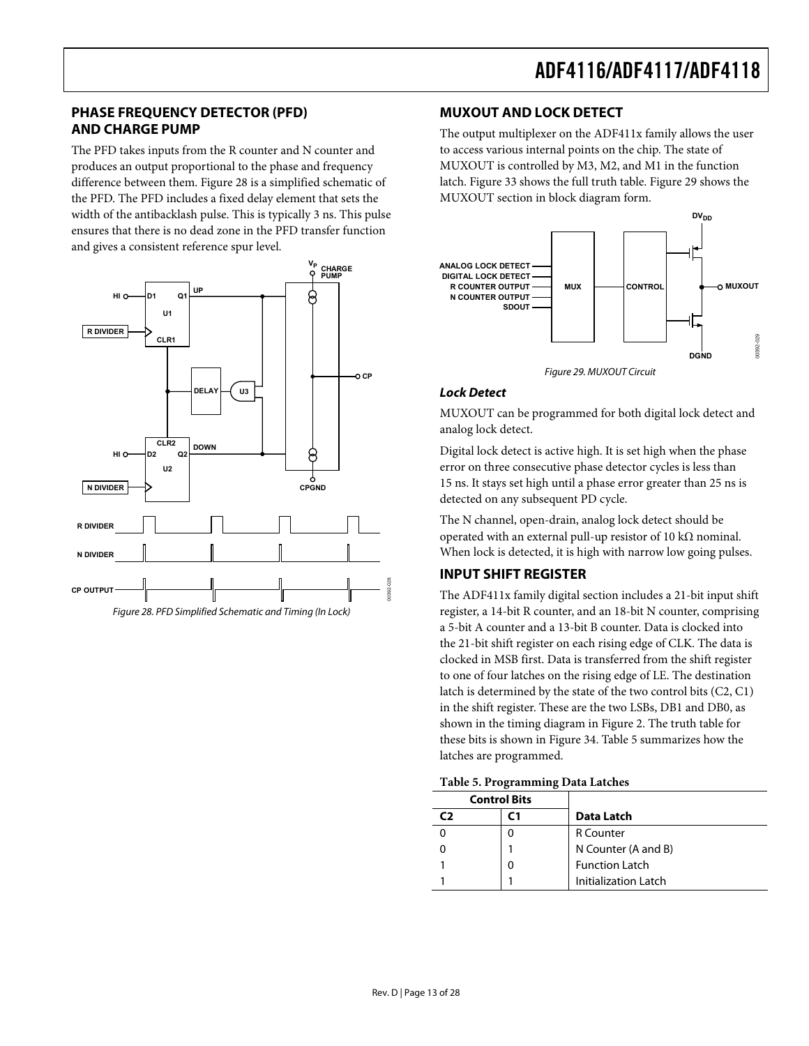## <span id="page-12-0"></span>**PHASE FREQUENCY DETECTOR (PFD) AND CHARGE PUMP**

The PFD takes inputs from the R counter and N counter and produces an output proportional to the phase and frequency difference between them. [Figure 28](#page-12-1) is a simplified schematic of the PFD. The PFD includes a fixed delay element that sets the width of the antibacklash pulse. This is typically 3 ns. This pulse ensures that there is no dead zone in the PFD transfer function and gives a consistent reference spur level.

<span id="page-12-2"></span>

<span id="page-12-3"></span><span id="page-12-1"></span>

### **MUXOUT AND LOCK DETECT**

The output multiplexer on the ADF411x family allows the user to access various internal points on the chip. The state of MUXOUT is controlled by M3, M2, and M1 in the function latch. [Figure 33](#page-16-0) shows the full truth table. [Figure 29](#page-12-2) shows the MUXOUT section in block diagram form.



Figure 29. MUXOUT Circuit

#### **Lock Detect**

MUXOUT can be programmed for both digital lock detect and analog lock detect.

Digital lock detect is active high. It is set high when the phase error on three consecutive phase detector cycles is less than 15 ns. It stays set high until a phase error greater than 25 ns is detected on any subsequent PD cycle.

The N channel, open-drain, analog lock detect should be operated with an external pull-up resistor of 10 kΩ nominal. When lock is detected, it is high with narrow low going pulses.

### **INPUT SHIFT REGISTER**

The ADF411x family digital section includes a 21-bit input shift register, a 14-bit R counter, and an 18-bit N counter, comprising a 5-bit A counter and a 13-bit B counter. Data is clocked into the 21-bit shift register on each rising edge of CLK. The data is clocked in MSB first. Data is transferred from the shift register to one of four latches on the rising edge of LE. The destination latch is determined by the state of the two control bits (C2, C1) in the shift register. These are the two LSBs, DB1 and DB0, as shown in the timing diagram in [Figure 2](#page-4-1). The truth table for these bits is shown in [Figure 34](#page-17-0). [Table 5](#page-12-3) summarizes how the latches are programmed.

|  | Table 5. Programming Data Latches |  |
|--|-----------------------------------|--|
|--|-----------------------------------|--|

|    | <b>Control Bits</b> |                       |  |  |  |  |  |  |
|----|---------------------|-----------------------|--|--|--|--|--|--|
| C) | ٢1                  | Data Latch            |  |  |  |  |  |  |
|    |                     | <b>R</b> Counter      |  |  |  |  |  |  |
|    |                     | N Counter (A and B)   |  |  |  |  |  |  |
|    |                     | <b>Function Latch</b> |  |  |  |  |  |  |
|    |                     | Initialization Latch  |  |  |  |  |  |  |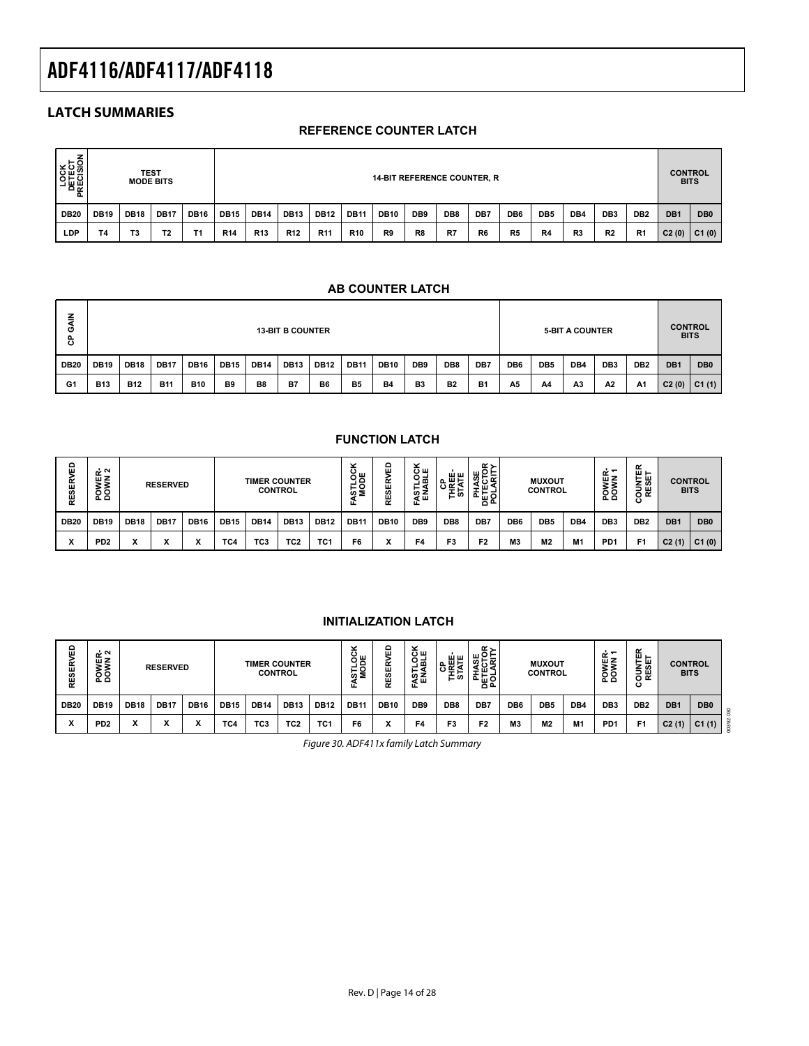## <span id="page-13-0"></span>**LATCH SUMMARIES**

### **REFERENCE COUNTER LATCH**

| LOCK<br>DETECT<br>RECISION<br>௳ | <b>TEST</b><br><b>14-BIT REFERENCE COUNTER, R</b><br><b>MODE BITS</b>                                                                                                                           |    |                |    |            |            |                 |                 |                 |                 |     | <b>CONTROL</b><br><b>BITS</b> |                 |                 |                 |    |                |                |       |       |
|---------------------------------|-------------------------------------------------------------------------------------------------------------------------------------------------------------------------------------------------|----|----------------|----|------------|------------|-----------------|-----------------|-----------------|-----------------|-----|-------------------------------|-----------------|-----------------|-----------------|----|----------------|----------------|-------|-------|
| <b>DB20</b>                     | DB <sub>8</sub><br><b>DB12</b><br>DB7<br><b>DB19</b><br><b>DB17</b><br><b>DB15</b><br><b>DB14</b><br><b>DB13</b><br><b>DB11</b><br><b>DB10</b><br><b>DB18</b><br><b>DB16</b><br>DB <sub>9</sub> |    |                |    |            |            |                 |                 | DB6             | DB <sub>5</sub> | DB4 | DB <sub>3</sub>               | DB <sub>2</sub> | DB <sub>1</sub> | DB <sub>0</sub> |    |                |                |       |       |
| LDP                             | Τ4                                                                                                                                                                                              | T3 | T <sub>2</sub> | Τ1 | <b>R14</b> | <b>R13</b> | R <sub>12</sub> | R <sub>11</sub> | R <sub>10</sub> | R9              | R8  | R7                            | R <sub>6</sub>  | R <sub>5</sub>  | R4              | R3 | R <sub>2</sub> | R <sub>1</sub> | C2(0) | C1(0) |

#### **AB COUNTER LATCH**

| 같<br>O<br>ී. |                                                                                                                                                                  |            |            |            |    |    | <b>13-BIT B COUNTER</b> |    |                |           |                |                |                |                 |                 | <b>5 BIT A COUNTER</b> |                 |                 |                 | <b>CONTROL</b><br><b>BITS</b> |
|--------------|------------------------------------------------------------------------------------------------------------------------------------------------------------------|------------|------------|------------|----|----|-------------------------|----|----------------|-----------|----------------|----------------|----------------|-----------------|-----------------|------------------------|-----------------|-----------------|-----------------|-------------------------------|
| <b>DB20</b>  | DB8<br><b>DB16</b><br><b>DB11</b><br><b>DB10</b><br><b>DB19</b><br><b>DB17</b><br><b>DB15</b><br><b>DB13</b><br><b>DB12</b><br><b>DB18</b><br><b>DB14</b><br>DB9 |            |            |            |    |    |                         |    |                |           |                |                | DB7            | DB <sub>6</sub> | DB <sub>5</sub> | DB4                    | DB <sub>3</sub> | DB <sub>2</sub> | DB <sub>1</sub> | DB <sub>0</sub>               |
| G1           | <b>B13</b>                                                                                                                                                       | <b>B12</b> | <b>B11</b> | <b>B10</b> | B9 | B8 | <b>B7</b>               | B6 | B <sub>5</sub> | <b>B4</b> | B <sub>3</sub> | B <sub>2</sub> | B <sub>1</sub> | A5              | A4              | A <sub>3</sub>         | A2              | A <sup>1</sup>  | C2(0)           | C1(1)                         |

## **FUNCTION LATCH**

| 읎<br><b>RESER</b>    | ้∝<br>面Z<br>ō٥<br>ہ ہ |             | <b>RESERVED</b>           |              |                 | <b>TIMER COUNTER</b> | <b>CONTROL</b>  |                 | ×<br><b>POR</b><br>່ທ ≅<br>Ш. | ۵<br>ш<br>E<br>នី | ×<br>ᅙ<br>□ -<br>. m<br>--<br>⊢٩<br>່ທ Z<br>ਕੋ ਘ<br>ш. | ᅀᄈᆓ<br>≀≝ ≊<br>亡め | ≃∼<br>និទ្ធិគិ<br>, ш.<br>포존학<br>ᅙᅆ |                 | <b>MUXOUT</b><br><b>CONTROL</b> |     | POWER-<br>DOWN 1 | ш⊢<br>н ш<br>3<br>ទី ឆ្ន<br>ပ | <b>CONTROL</b><br><b>BITS</b> |                 |
|----------------------|-----------------------|-------------|---------------------------|--------------|-----------------|----------------------|-----------------|-----------------|-------------------------------|-------------------|--------------------------------------------------------|-------------------|-------------------------------------|-----------------|---------------------------------|-----|------------------|-------------------------------|-------------------------------|-----------------|
| <b>DB20</b>          | <b>DB19</b>           | <b>DB18</b> | <b>DB17</b>               | <b>DB16</b>  | <b>DB15</b>     | <b>DB14</b>          | <b>DB13</b>     | <b>DB12</b>     | <b>DB11</b>                   | <b>DB10</b>       | DB <sub>9</sub>                                        | DB <sub>8</sub>   | DB7                                 | DB <sub>6</sub> | DB <sub>5</sub>                 | DB4 | DB <sub>3</sub>  | DB <sub>2</sub>               | DB <sub>1</sub>               | DB <sub>0</sub> |
| $\cdot$<br>$\lambda$ | PD <sub>2</sub>       | ́           | $\ddot{\phantom{0}}$<br>Λ | $\cdot$<br>^ | TC <sub>4</sub> | тсз                  | TC <sub>2</sub> | TC <sub>1</sub> | F6                            |                   | F4                                                     | F3                | F <sub>2</sub>                      | M <sub>3</sub>  | M <sub>2</sub>                  | M1  | P <sub>D</sub> 1 | F1                            | C2(1)                         | C1(0)           |

| <b>THEFT AAILITER</b> |  | . | $\tilde{ }$ |  |
|-----------------------|--|---|-------------|--|

**INITIALIZATION LATCH**

| ⊞<br><b>SER</b><br>뛽 | ๔∾<br>шZ<br>o o<br>ہ ہ |             | <b>RESERVED</b> |             |             |                 | <b>TIMER COUNTER</b><br><b>CONTROL</b> |                 | ۰.<br>ŏ,≝<br>ັ<br>სი Σ | 冚<br>w      | $\tilde{\phantom{a}}$<br>ਨੇ ਘ<br>공학<br>⊢≺<br>ឌីន<br>ட | шш<br>画長<br>௳<br>亡め | <b>K&gt;</b><br>넓읬ᇥ<br>ত ≆<br>ш<br>-<br>-<br>ੰ≞ ਸੁ≿਼ |                 | <b>MUXOUT</b><br><b>CONTROL</b> |     | $\sim$ $-$<br>шZ<br>o c<br>ءَ ء | $\alpha$<br>$\mathbf{u}$ $\mathbf{v}$<br>눈 써<br>ய<br>-<br>ື<br>ပ |       | <b>CONTROL</b><br><b>BITS</b> |  |
|----------------------|------------------------|-------------|-----------------|-------------|-------------|-----------------|----------------------------------------|-----------------|------------------------|-------------|-------------------------------------------------------|---------------------|------------------------------------------------------|-----------------|---------------------------------|-----|---------------------------------|------------------------------------------------------------------|-------|-------------------------------|--|
| <b>DB20</b>          | <b>DB19</b>            | <b>DB18</b> | $DDB1^-$        | <b>DB16</b> | <b>DB15</b> | <b>DB14</b>     | <b>DB13</b>                            | <b>DB12</b>     | DB <sub>1</sub>        | <b>DB10</b> | DB <sub>9</sub>                                       | DB <sub>8</sub>     | DB7                                                  | DB <sub>6</sub> | DB <sub>5</sub>                 | DB4 | DB <sub>3</sub>                 | DB <sub>2</sub>                                                  | DB1   | DB <sub>0</sub>               |  |
| $\cdot$              | PD <sub>2</sub>        |             | ^               |             | TC4         | TC <sub>3</sub> | TC <sub>2</sub>                        | TC <sup>-</sup> | F6                     |             | F <sub>4</sub>                                        | F3                  | F2                                                   | M3              | M <sub>2</sub>                  | M1  | P <sub>D</sub> 1                | F <sub>1</sub>                                                   | C2(1) | C1(1)                         |  |

Figure 30. ADF411x family Latch Summary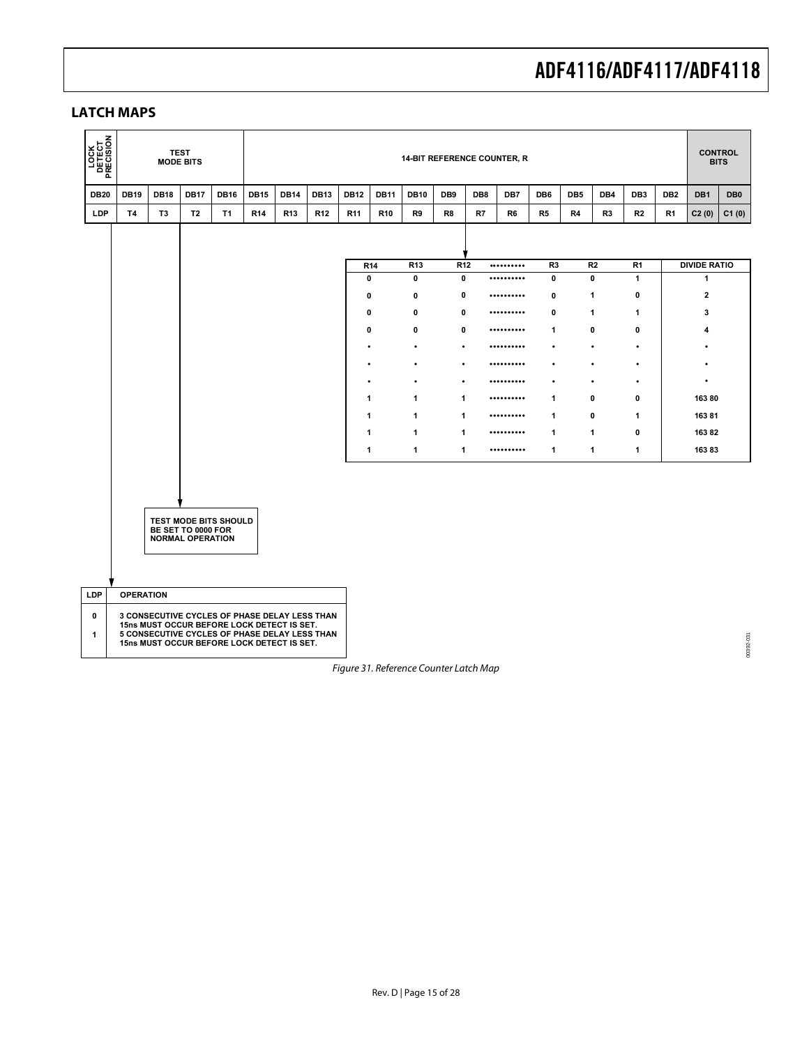## <span id="page-14-0"></span>**LATCH MAPS**

| <b>PECISION</b><br>DETECT<br>DETECT                                                                                                                                                                  |                  | <b>TEST</b><br><b>MODE BITS</b> |                                               |                              |                 |                                                                 |                 |                 |                 |                                        |                                |                 | <b>14-BIT REFERENCE COUNTER, R</b> |                               |                 |                |                     |                 |                                     | <b>CONTROL</b><br><b>BITS</b> |  |
|------------------------------------------------------------------------------------------------------------------------------------------------------------------------------------------------------|------------------|---------------------------------|-----------------------------------------------|------------------------------|-----------------|-----------------------------------------------------------------|-----------------|-----------------|-----------------|----------------------------------------|--------------------------------|-----------------|------------------------------------|-------------------------------|-----------------|----------------|---------------------|-----------------|-------------------------------------|-------------------------------|--|
| <b>DB20</b>                                                                                                                                                                                          | <b>DB19</b>      | <b>DB18</b>                     | <b>DB17</b>                                   | <b>DB16</b>                  | <b>DB15</b>     | <b>DB14</b>                                                     | <b>DB13</b>     | <b>DB12</b>     | <b>DB11</b>     | <b>DB10</b>                            | DB <sub>9</sub>                | DB <sub>8</sub> | DB7                                | DB <sub>6</sub>               | DB <sub>5</sub> | DB4            | DB <sub>3</sub>     | DB <sub>2</sub> | DB1                                 | DB <sub>0</sub>               |  |
| LDP                                                                                                                                                                                                  | <b>T4</b>        | T <sub>3</sub>                  | T <sub>2</sub>                                | <b>T1</b>                    | R <sub>14</sub> | R <sub>13</sub>                                                 | R <sub>12</sub> | R <sub>11</sub> | R <sub>10</sub> | R <sub>9</sub>                         | R8                             | R7              | R6                                 | R <sub>5</sub>                | R4              | R <sub>3</sub> | R2                  | R <sub>1</sub>  | C2(0)                               | C1(0)                         |  |
|                                                                                                                                                                                                      |                  |                                 |                                               |                              |                 |                                                                 |                 |                 |                 |                                        |                                |                 |                                    |                               |                 |                |                     |                 |                                     |                               |  |
|                                                                                                                                                                                                      |                  |                                 |                                               |                              |                 |                                                                 |                 | 0               | R <sub>14</sub> | R <sub>13</sub><br>$\mathbf 0$         | R <sub>12</sub><br>$\mathbf 0$ |                 | <br>                               | R <sub>3</sub><br>$\mathbf 0$ |                 | R2<br>0        | R <sub>1</sub><br>1 |                 | <b>DIVIDE RATIO</b><br>$\mathbf{1}$ |                               |  |
|                                                                                                                                                                                                      |                  |                                 |                                               |                              |                 |                                                                 |                 | 0               |                 | 0                                      | 0                              |                 |                                    | 0                             |                 | 1              | 0                   |                 | $\mathbf{2}$                        |                               |  |
|                                                                                                                                                                                                      |                  |                                 |                                               |                              |                 |                                                                 |                 | 0               |                 | 0                                      | 0                              |                 |                                    | $\mathbf 0$                   |                 | 1              | 1                   |                 | 3                                   |                               |  |
|                                                                                                                                                                                                      |                  |                                 |                                               |                              |                 |                                                                 |                 | $\mathbf 0$     |                 | $\mathbf 0$                            | 0                              |                 |                                    | $\mathbf{1}$                  |                 | 0              | 0                   |                 | 4                                   |                               |  |
|                                                                                                                                                                                                      |                  |                                 |                                               |                              |                 |                                                                 |                 | ٠               |                 | $\bullet$                              | $\bullet$                      |                 |                                    | ٠                             |                 | $\bullet$      | ٠                   |                 | ٠                                   |                               |  |
|                                                                                                                                                                                                      |                  |                                 |                                               |                              |                 |                                                                 |                 |                 |                 | $\bullet$                              | $\bullet$                      |                 |                                    |                               |                 | $\bullet$      | $\bullet$           |                 |                                     |                               |  |
|                                                                                                                                                                                                      |                  |                                 |                                               |                              |                 | $\bullet$<br>$\bullet$<br>$\bullet$<br><br>٠<br>$\bullet$       |                 |                 |                 |                                        |                                |                 |                                    |                               |                 |                |                     | $\bullet$       |                                     |                               |  |
|                                                                                                                                                                                                      |                  |                                 |                                               |                              |                 | 0<br>$\mathbf{1}$<br>$\mathbf{1}$<br>0<br>$\mathbf{1}$<br>1<br> |                 |                 |                 |                                        |                                |                 |                                    |                               |                 |                | 16380               |                 |                                     |                               |  |
|                                                                                                                                                                                                      |                  |                                 |                                               |                              |                 |                                                                 |                 | $\mathbf{1}$    |                 | $\mathbf{1}$                           | 1                              |                 |                                    | $\mathbf{1}$                  |                 | 0              | $\mathbf{1}$        |                 | 16381                               |                               |  |
|                                                                                                                                                                                                      |                  |                                 |                                               |                              |                 |                                                                 |                 | $\mathbf{1}$    |                 | 1                                      | $\mathbf{1}$                   |                 |                                    | 1                             |                 | 1              | 0                   |                 | 16382                               |                               |  |
|                                                                                                                                                                                                      |                  |                                 |                                               |                              |                 |                                                                 |                 | 1               |                 | 1                                      | 1                              |                 |                                    | $\mathbf{1}$                  |                 | 1              | 1                   |                 | 16383                               |                               |  |
|                                                                                                                                                                                                      |                  |                                 | BE SET TO 0000 FOR<br><b>NORMAL OPERATION</b> | <b>TEST MODE BITS SHOULD</b> |                 |                                                                 |                 |                 |                 |                                        |                                |                 |                                    |                               |                 |                |                     |                 |                                     |                               |  |
| <b>LDP</b>                                                                                                                                                                                           | <b>OPERATION</b> |                                 |                                               |                              |                 |                                                                 |                 |                 |                 |                                        |                                |                 |                                    |                               |                 |                |                     |                 |                                     |                               |  |
| 3 CONSECUTIVE CYCLES OF PHASE DELAY LESS THAN<br>0<br>15ns MUST OCCUR BEFORE LOCK DETECT IS SET.<br>5 CONSECUTIVE CYCLES OF PHASE DELAY LESS THAN<br>1<br>15ns MUST OCCUR BEFORE LOCK DETECT IS SET. |                  |                                 |                                               |                              |                 |                                                                 |                 |                 |                 |                                        |                                |                 | 00392-031                          |                               |                 |                |                     |                 |                                     |                               |  |
|                                                                                                                                                                                                      |                  |                                 |                                               |                              |                 |                                                                 |                 |                 |                 | Figure 31. Reference Counter Latch Map |                                |                 |                                    |                               |                 |                |                     |                 |                                     |                               |  |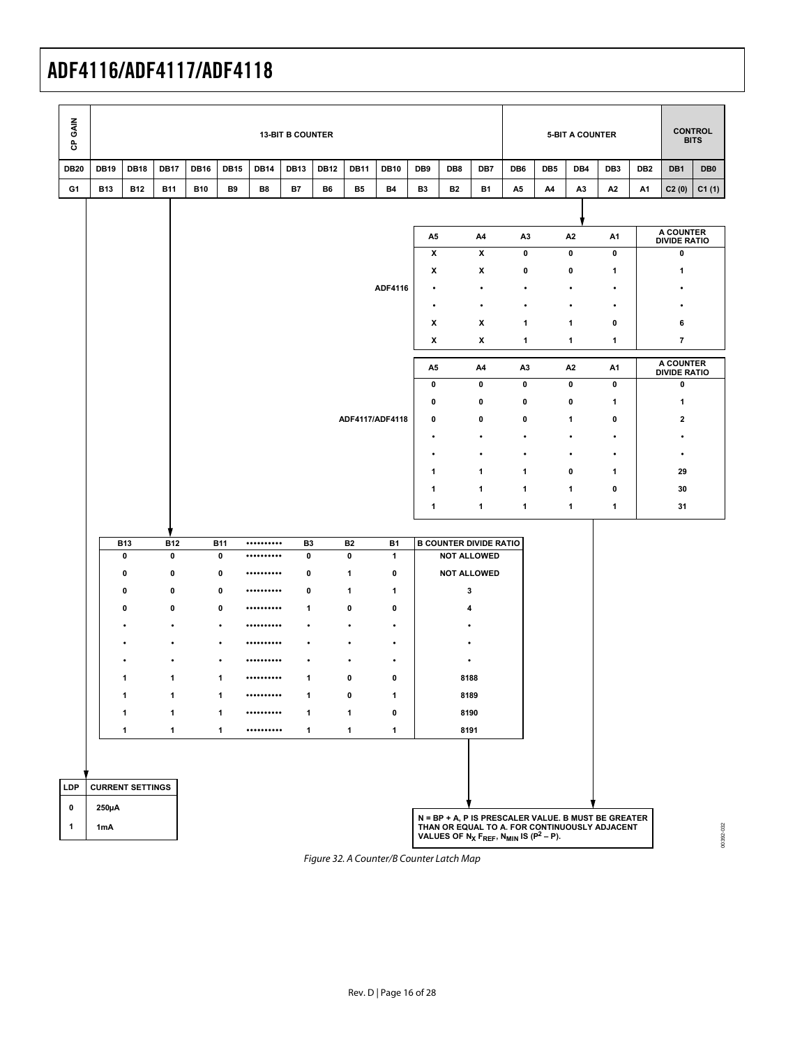| GAIN<br>ჭ    |             |                         | <b>13-BIT B COUNTER</b><br><b>5-BIT A COUNTER</b><br><b>DB17</b><br><b>DB14</b><br>DB9<br>DB8<br>DB7<br>DB6<br>DB <sub>5</sub><br>DB4 |              |                         |      |                             |             |                        |                     |                |           |                                                                                                 |                |                |                |                                                     | <b>CONTROL</b><br><b>BITS</b> |                                  |                 |  |
|--------------|-------------|-------------------------|---------------------------------------------------------------------------------------------------------------------------------------|--------------|-------------------------|------|-----------------------------|-------------|------------------------|---------------------|----------------|-----------|-------------------------------------------------------------------------------------------------|----------------|----------------|----------------|-----------------------------------------------------|-------------------------------|----------------------------------|-----------------|--|
| <b>DB20</b>  | <b>DB19</b> | <b>DB18</b>             |                                                                                                                                       | <b>DB16</b>  | <b>DB15</b>             |      | <b>DB13</b>                 | <b>DB12</b> | <b>DB11</b>            | <b>DB10</b>         |                |           |                                                                                                 |                |                |                | DB <sub>3</sub>                                     | DB <sub>2</sub>               | DB1                              | DB <sub>0</sub> |  |
| G1           | <b>B13</b>  | <b>B12</b>              | <b>B11</b>                                                                                                                            | <b>B10</b>   | B <sub>9</sub>          | B8   | <b>B7</b>                   | <b>B6</b>   | <b>B5</b>              | <b>B4</b>           | B <sub>3</sub> | <b>B2</b> | <b>B1</b>                                                                                       | A5             | A4             | A <sub>3</sub> | A <sub>2</sub>                                      | A <sub>1</sub>                | C2(0)                            | C1(1)           |  |
|              |             |                         |                                                                                                                                       |              |                         |      |                             |             |                        |                     |                |           |                                                                                                 |                |                |                |                                                     |                               |                                  |                 |  |
|              |             |                         |                                                                                                                                       |              |                         |      |                             |             |                        |                     | A5             |           | A4                                                                                              | A <sub>3</sub> |                | A2             | A1                                                  |                               | A COUNTER<br><b>DIVIDE RATIO</b> |                 |  |
|              |             |                         |                                                                                                                                       |              |                         |      |                             |             |                        |                     | X              |           | X                                                                                               | $\pmb{0}$      |                | $\pmb{0}$      | $\pmb{0}$                                           |                               | $\pmb{0}$                        |                 |  |
|              |             |                         |                                                                                                                                       |              |                         |      |                             |             |                        |                     | x              |           | X                                                                                               | 0              |                | 0              | $\mathbf{1}$                                        |                               | 1                                |                 |  |
|              |             |                         |                                                                                                                                       |              |                         |      |                             |             |                        | ADF4116             |                |           | $\bullet$                                                                                       | $\bullet$      |                | $\bullet$      | $\bullet$                                           |                               | ٠                                |                 |  |
|              |             |                         |                                                                                                                                       |              |                         |      |                             |             |                        |                     | ٠              |           | $\bullet$                                                                                       | $\bullet$      |                | $\bullet$      | $\bullet$                                           |                               | ٠                                |                 |  |
|              |             |                         |                                                                                                                                       |              |                         |      |                             |             |                        |                     | x              |           | x                                                                                               | 1              |                | 1              | $\bf{0}$                                            |                               | 6                                |                 |  |
|              |             |                         |                                                                                                                                       |              |                         |      |                             |             |                        |                     | x              |           | X                                                                                               | $\mathbf{1}$   |                | 1              | $\mathbf{1}$                                        |                               | $\overline{7}$                   |                 |  |
|              |             |                         |                                                                                                                                       |              |                         |      |                             |             |                        |                     | A5             |           | A4                                                                                              | A3             | A <sub>2</sub> |                | A COUNTER<br><b>DIVIDE RATIO</b>                    |                               |                                  |                 |  |
|              |             |                         |                                                                                                                                       |              |                         |      |                             |             |                        |                     | $\bf{0}$       |           | $\bf{0}$                                                                                        | 0              |                | $\pmb{0}$      | 0                                                   |                               | 0                                |                 |  |
|              |             |                         |                                                                                                                                       |              |                         |      |                             |             |                        |                     | 0              |           | 0                                                                                               | 0              |                | 0              | $\mathbf{1}$                                        |                               | 1                                |                 |  |
|              |             |                         |                                                                                                                                       |              |                         |      |                             |             |                        | ADF4117/ADF4118     | 0              |           | $\pmb{0}$                                                                                       | 0              |                | 1              | $\bf{0}$                                            |                               | $\overline{\mathbf{2}}$          |                 |  |
|              |             |                         |                                                                                                                                       |              |                         |      |                             |             |                        |                     | ٠              |           | $\bullet$                                                                                       | $\bullet$      |                | $\bullet$      | $\bullet$                                           |                               | ٠                                |                 |  |
|              |             |                         |                                                                                                                                       |              |                         |      |                             |             |                        |                     | ٠              |           | ٠                                                                                               | $\bullet$      |                | $\bullet$      | $\bullet$                                           |                               | ٠                                |                 |  |
|              |             |                         |                                                                                                                                       |              |                         |      |                             |             |                        |                     | $\mathbf{1}$   |           | $\mathbf{1}$                                                                                    | 1              |                | $\pmb{0}$      | $\mathbf{1}$                                        |                               | 29                               |                 |  |
|              |             |                         |                                                                                                                                       |              |                         |      |                             |             |                        |                     | $\mathbf{1}$   |           | $\mathbf{1}$                                                                                    | 1              |                | 1              | $\bf{0}$                                            |                               | 30                               |                 |  |
|              |             |                         |                                                                                                                                       |              |                         |      |                             |             |                        |                     | $\mathbf{1}$   |           | $\mathbf{1}$                                                                                    | 1              |                | 1              | $\mathbf{1}$                                        |                               | 31                               |                 |  |
|              |             |                         |                                                                                                                                       |              |                         |      |                             |             |                        |                     |                |           |                                                                                                 |                |                |                |                                                     |                               |                                  |                 |  |
|              |             | <b>B13</b><br>$\pmb{0}$ | <b>B12</b><br>$\pmb{0}$                                                                                                               |              | <b>B11</b><br>$\pmb{0}$ | <br> | B <sub>3</sub><br>$\pmb{0}$ |             | <b>B2</b><br>$\pmb{0}$ | B <sub>1</sub><br>1 |                |           | <b>B COUNTER DIVIDE RATIO</b><br><b>NOT ALLOWED</b>                                             |                |                |                |                                                     |                               |                                  |                 |  |
|              |             | 0                       | 0                                                                                                                                     |              | $\pmb{0}$               |      | $\bf{0}$                    |             | 1                      | 0                   |                |           | <b>NOT ALLOWED</b>                                                                              |                |                |                |                                                     |                               |                                  |                 |  |
|              |             | 0                       | 0                                                                                                                                     |              | 0                       |      | $\bf{0}$                    |             | 1                      | 1                   |                |           | 3                                                                                               |                |                |                |                                                     |                               |                                  |                 |  |
|              |             | $\mathbf 0$             | 0                                                                                                                                     |              | 0                       |      | $\mathbf{1}$                |             | 0                      | 0                   |                |           | 4                                                                                               |                |                |                |                                                     |                               |                                  |                 |  |
|              |             |                         |                                                                                                                                       |              | $\bullet$               |      |                             |             |                        | ٠                   |                |           |                                                                                                 |                |                |                |                                                     |                               |                                  |                 |  |
|              |             |                         |                                                                                                                                       |              | $\bullet$               |      |                             |             | $\bullet$              | ٠                   |                |           |                                                                                                 |                |                |                |                                                     |                               |                                  |                 |  |
|              |             |                         |                                                                                                                                       |              | $\bullet$               |      |                             |             | ٠                      | $\bullet$           |                |           | ٠                                                                                               |                |                |                |                                                     |                               |                                  |                 |  |
|              |             | 1                       |                                                                                                                                       | 1            | 1                       |      | 1                           |             | 0                      | 0                   |                |           | 8188                                                                                            |                |                |                |                                                     |                               |                                  |                 |  |
|              |             | п.                      |                                                                                                                                       |              |                         |      | 1                           |             | 0                      | 1                   |                |           | 8189                                                                                            |                |                |                |                                                     |                               |                                  |                 |  |
|              |             | $\mathbf{1}$            | 1                                                                                                                                     |              | 1                       |      | 1                           |             | 1                      | 0                   |                |           | 8190                                                                                            |                |                |                |                                                     |                               |                                  |                 |  |
|              |             | $\mathbf{1}$            |                                                                                                                                       | $\mathbf{1}$ | $\mathbf{1}$            |      | $\mathbf{1}$                |             | $\mathbf{1}$           | 1                   |                |           | 8191                                                                                            |                |                |                |                                                     |                               |                                  |                 |  |
|              |             |                         |                                                                                                                                       |              |                         |      |                             |             |                        |                     |                |           |                                                                                                 |                |                |                |                                                     |                               |                                  |                 |  |
|              |             |                         |                                                                                                                                       |              |                         |      |                             |             |                        |                     |                |           |                                                                                                 |                |                |                |                                                     |                               |                                  |                 |  |
| LDP          |             | <b>CURRENT SETTINGS</b> |                                                                                                                                       |              |                         |      |                             |             |                        |                     |                |           |                                                                                                 |                |                |                |                                                     |                               |                                  |                 |  |
| $\pmb{0}$    | 250µA       |                         |                                                                                                                                       |              |                         |      |                             |             |                        |                     |                |           |                                                                                                 |                |                |                | N = BP + A, P IS PRESCALER VALUE. B MUST BE GREATER |                               |                                  |                 |  |
| $\mathbf{1}$ | 1mA         |                         |                                                                                                                                       |              |                         |      |                             |             |                        |                     |                |           | THAN OR EQUAL TO A. FOR CONTINUOUSLY ADJACENT VALUES OF $N_X F_{REF} N_{MIN}$ IS ( $P^2 - P$ ). |                |                |                |                                                     | 0392-032                      |                                  |                 |  |

Figure 32. A Counter/B Counter Latch Map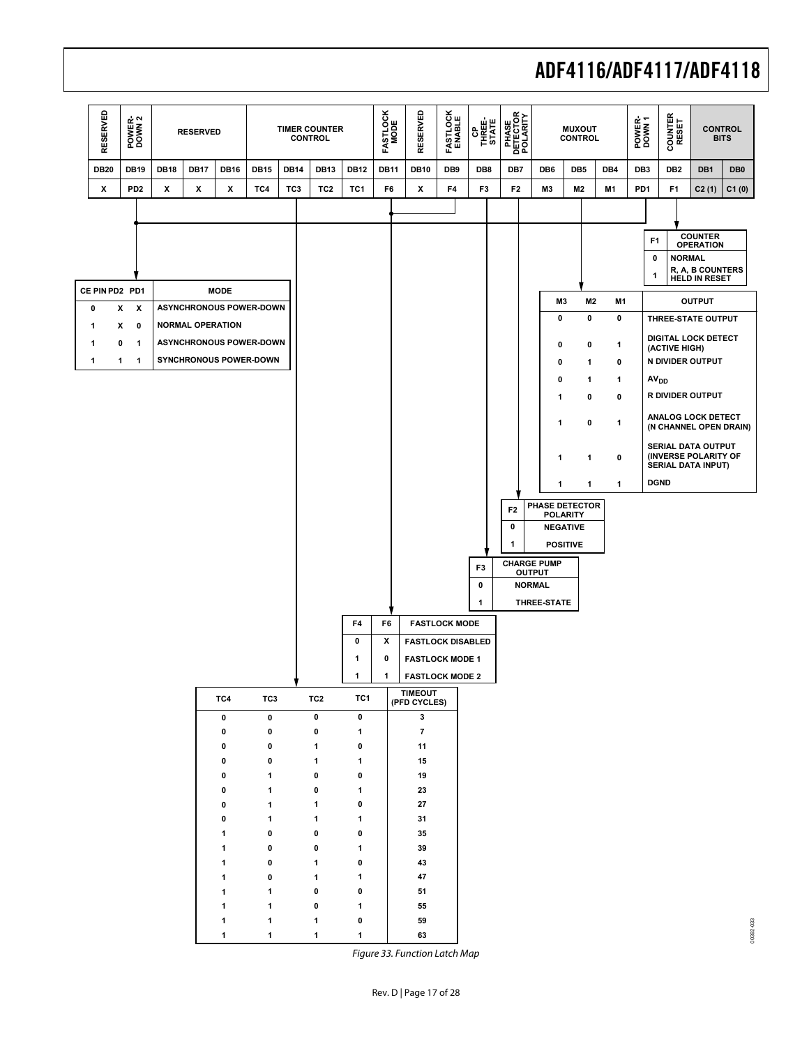

<span id="page-16-0"></span>Figure 33. Function Latch Map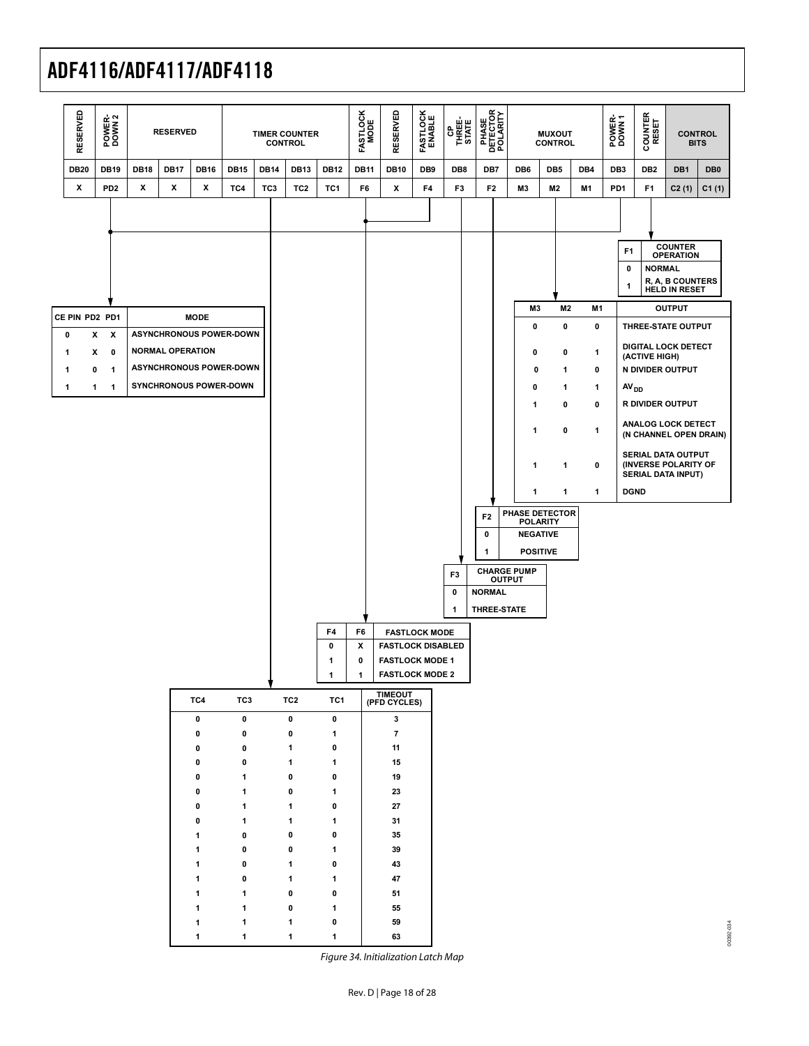

<span id="page-17-0"></span>Figure 34. Initialization Latch Map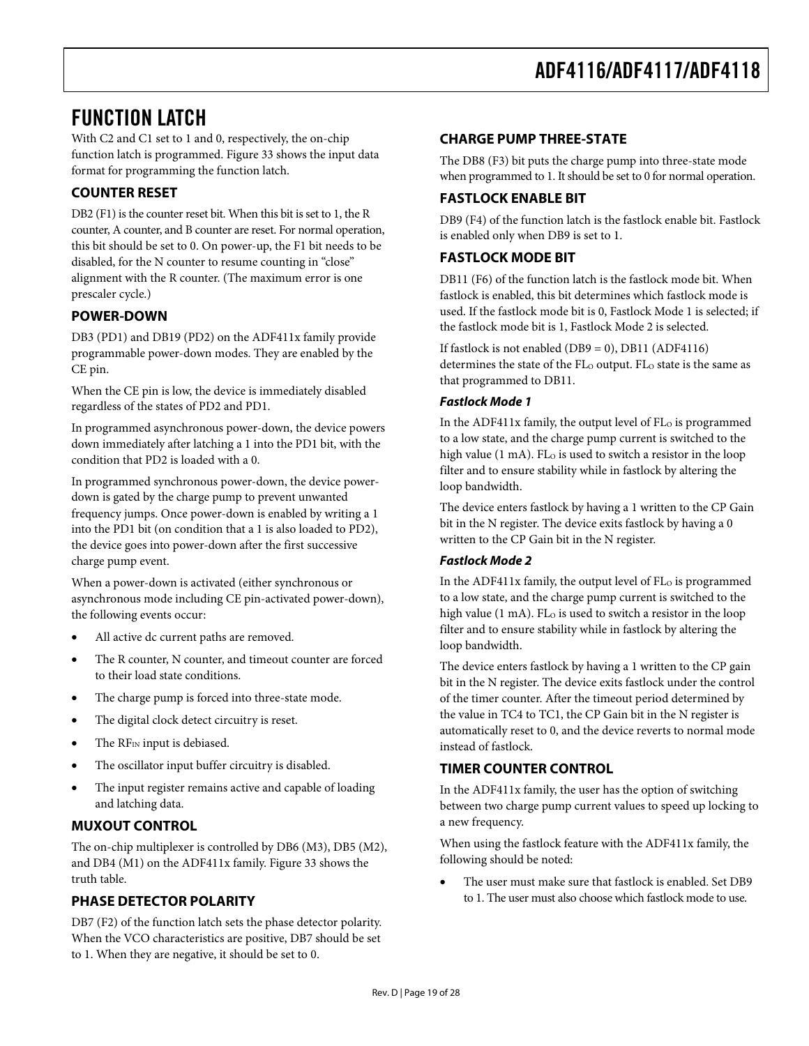## <span id="page-18-0"></span>FUNCTION LATCH

With C2 and C1 set to 1 and 0, respectively, the on-chip function latch is programmed. [Figure 33](#page-16-0) shows the input data format for programming the function latch.

## **COUNTER RESET**

DB2 (F1) is the counter reset bit. When this bit is set to 1, the R counter, A counter, and B counter are reset. For normal operation, this bit should be set to 0. On power-up, the F1 bit needs to be disabled, for the N counter to resume counting in "close" alignment with the R counter. (The maximum error is one prescaler cycle.)

## **POWER-DOWN**

DB3 (PD1) and DB19 (PD2) on the ADF411x family provide programmable power-down modes. They are enabled by the CE pin.

When the CE pin is low, the device is immediately disabled regardless of the states of PD2 and PD1.

In programmed asynchronous power-down, the device powers down immediately after latching a 1 into the PD1 bit, with the condition that PD2 is loaded with a 0.

In programmed synchronous power-down, the device powerdown is gated by the charge pump to prevent unwanted frequency jumps. Once power-down is enabled by writing a 1 into the PD1 bit (on condition that a 1 is also loaded to PD2), the device goes into power-down after the first successive charge pump event.

When a power-down is activated (either synchronous or asynchronous mode including CE pin-activated power-down), the following events occur:

- All active dc current paths are removed.
- The R counter, N counter, and timeout counter are forced to their load state conditions.
- The charge pump is forced into three-state mode.
- The digital clock detect circuitry is reset.
- The RF<sub>IN</sub> input is debiased.
- The oscillator input buffer circuitry is disabled.
- The input register remains active and capable of loading and latching data.

### **MUXOUT CONTROL**

The on-chip multiplexer is controlled by DB6 (M3), DB5 (M2), and DB4 (M1) on the ADF411x family. [Figure 33](#page-16-0) shows the truth table.

### **PHASE DETECTOR POLARITY**

DB7 (F2) of the function latch sets the phase detector polarity. When the VCO characteristics are positive, DB7 should be set to 1. When they are negative, it should be set to 0.

### **CHARGE PUMP THREE-STATE**

The DB8 (F3) bit puts the charge pump into three-state mode when programmed to 1. It should be set to 0 for normal operation.

### **FASTLOCK ENABLE BIT**

DB9 (F4) of the function latch is the fastlock enable bit. Fastlock is enabled only when DB9 is set to 1.

### **FASTLOCK MODE BIT**

DB11 (F6) of the function latch is the fastlock mode bit. When fastlock is enabled, this bit determines which fastlock mode is used. If the fastlock mode bit is 0, Fastlock Mode 1 is selected; if the fastlock mode bit is 1, Fastlock Mode 2 is selected.

If fastlock is not enabled  $(DB9 = 0)$ , DB11  $(ADF4116)$ determines the state of the FL<sub>O</sub> output. FL<sub>O</sub> state is the same as that programmed to DB11.

### **Fastlock Mode 1**

In the ADF411x family, the output level of  $FL<sub>o</sub>$  is programmed to a low state, and the charge pump current is switched to the high value  $(1 \text{ mA})$ . FL $_{\text{O}}$  is used to switch a resistor in the loop filter and to ensure stability while in fastlock by altering the loop bandwidth.

The device enters fastlock by having a 1 written to the CP Gain bit in the N register. The device exits fastlock by having a 0 written to the CP Gain bit in the N register.

### **Fastlock Mode 2**

In the ADF411x family, the output level of FL<sub>O</sub> is programmed to a low state, and the charge pump current is switched to the high value (1 mA). FL $_{\odot}$  is used to switch a resistor in the loop filter and to ensure stability while in fastlock by altering the loop bandwidth.

The device enters fastlock by having a 1 written to the CP gain bit in the N register. The device exits fastlock under the control of the timer counter. After the timeout period determined by the value in TC4 to TC1, the CP Gain bit in the N register is automatically reset to 0, and the device reverts to normal mode instead of fastlock.

### **TIMER COUNTER CONTROL**

In the ADF411x family, the user has the option of switching between two charge pump current values to speed up locking to a new frequency.

When using the fastlock feature with the ADF411x family, the following should be noted:

• The user must make sure that fastlock is enabled. Set DB9 to 1. The user must also choose which fastlock mode to use.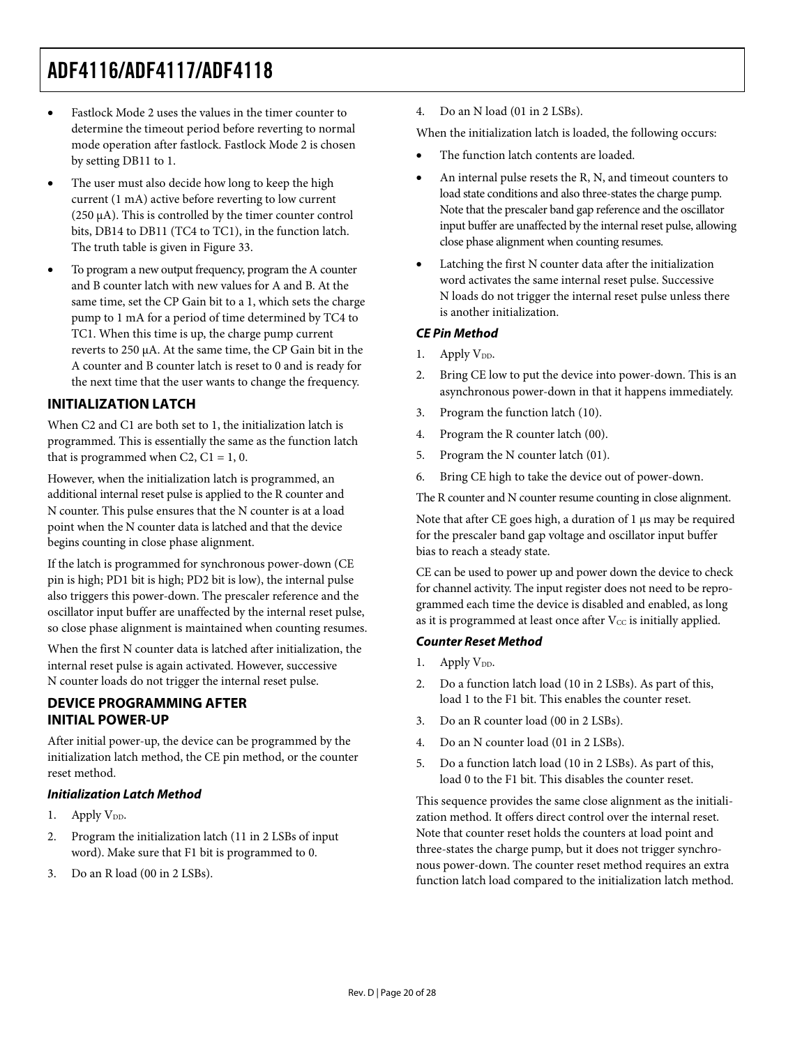- <span id="page-19-0"></span>• Fastlock Mode 2 uses the values in the timer counter to determine the timeout period before reverting to normal mode operation after fastlock. Fastlock Mode 2 is chosen by setting DB11 to 1.
- The user must also decide how long to keep the high current (1 mA) active before reverting to low current (250 μA). This is controlled by the timer counter control bits, DB14 to DB11 (TC4 to TC1), in the function latch. The truth table is given in [Figure 33](#page-16-0).
- To program a new output frequency, program the A counter and B counter latch with new values for A and B. At the same time, set the CP Gain bit to a 1, which sets the charge pump to 1 mA for a period of time determined by TC4 to TC1. When this time is up, the charge pump current reverts to 250 μA. At the same time, the CP Gain bit in the A counter and B counter latch is reset to 0 and is ready for the next time that the user wants to change the frequency.

## **INITIALIZATION LATCH**

When C2 and C1 are both set to 1, the initialization latch is programmed. This is essentially the same as the function latch that is programmed when C2,  $C1 = 1, 0$ .

However, when the initialization latch is programmed, an additional internal reset pulse is applied to the R counter and N counter. This pulse ensures that the N counter is at a load point when the N counter data is latched and that the device begins counting in close phase alignment.

If the latch is programmed for synchronous power-down (CE pin is high; PD1 bit is high; PD2 bit is low), the internal pulse also triggers this power-down. The prescaler reference and the oscillator input buffer are unaffected by the internal reset pulse, so close phase alignment is maintained when counting resumes.

When the first N counter data is latched after initialization, the internal reset pulse is again activated. However, successive N counter loads do not trigger the internal reset pulse.

## **DEVICE PROGRAMMING AFTER INITIAL POWER-UP**

After initial power-up, the device can be programmed by the initialization latch method, the CE pin method, or the counter reset method.

### **Initialization Latch Method**

- 1. Apply  $V_{DD}$ .
- 2. Program the initialization latch (11 in 2 LSBs of input word). Make sure that F1 bit is programmed to 0.
- 3. Do an R load (00 in 2 LSBs).

4. Do an N load (01 in 2 LSBs).

When the initialization latch is loaded, the following occurs:

- The function latch contents are loaded.
- An internal pulse resets the R, N, and timeout counters to load state conditions and also three-states the charge pump. Note that the prescaler band gap reference and the oscillator input buffer are unaffected by the internal reset pulse, allowing close phase alignment when counting resumes.
- Latching the first N counter data after the initialization word activates the same internal reset pulse. Successive N loads do not trigger the internal reset pulse unless there is another initialization.

### **CE Pin Method**

- 1. Apply  $V_{DD}$ .
- 2. Bring CE low to put the device into power-down. This is an asynchronous power-down in that it happens immediately.
- 3. Program the function latch (10).
- 4. Program the R counter latch (00).
- 5. Program the N counter latch (01).
- 6. Bring CE high to take the device out of power-down.

The R counter and N counter resume counting in close alignment.

Note that after CE goes high, a duration of 1 μs may be required for the prescaler band gap voltage and oscillator input buffer bias to reach a steady state.

CE can be used to power up and power down the device to check for channel activity. The input register does not need to be reprogrammed each time the device is disabled and enabled, as long as it is programmed at least once after  $V_{CC}$  is initially applied.

### **Counter Reset Method**

- 1. Apply  $V_{DD}$ .
- 2. Do a function latch load (10 in 2 LSBs). As part of this, load 1 to the F1 bit. This enables the counter reset.
- 3. Do an R counter load (00 in 2 LSBs).
- 4. Do an N counter load (01 in 2 LSBs).
- 5. Do a function latch load (10 in 2 LSBs). As part of this, load 0 to the F1 bit. This disables the counter reset.

This sequence provides the same close alignment as the initialization method. It offers direct control over the internal reset. Note that counter reset holds the counters at load point and three-states the charge pump, but it does not trigger synchronous power-down. The counter reset method requires an extra function latch load compared to the initialization latch method.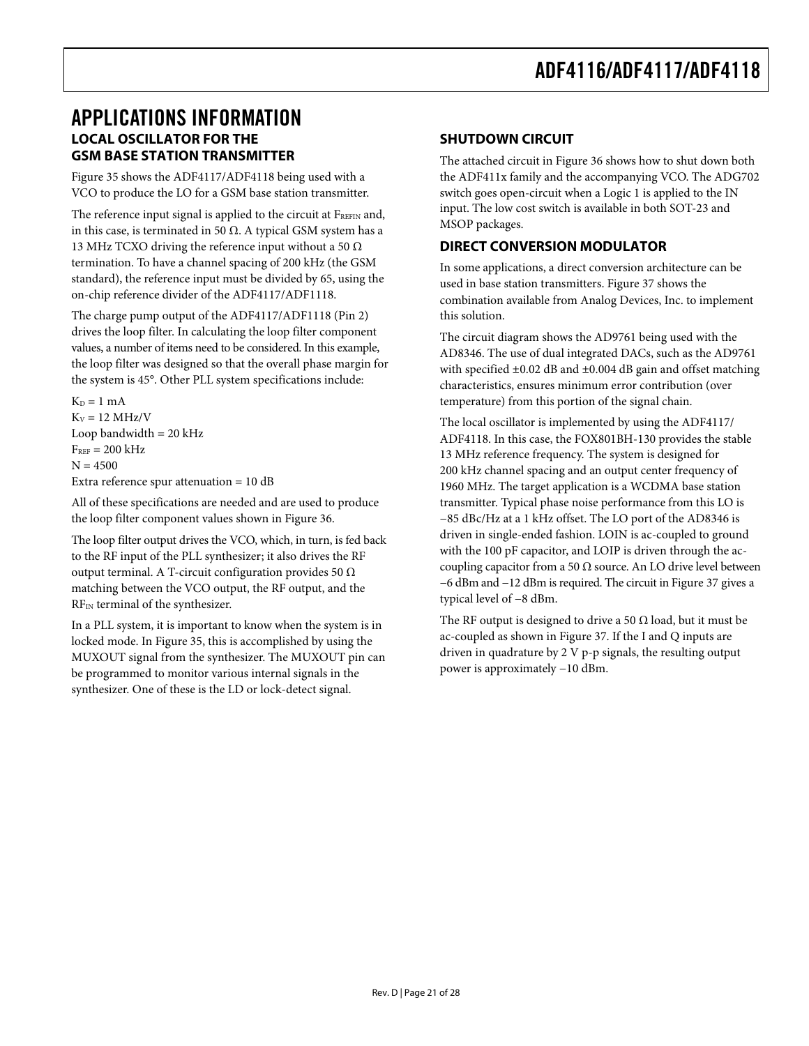## <span id="page-20-0"></span>APPLICATIONS INFORMATION **LOCAL OSCILLATOR FOR THE GSM BASE STATION TRANSMITTER**

[Figure 35](#page-21-1) shows the ADF4117/ADF4118 being used with a VCO to produce the LO for a GSM base station transmitter.

The reference input signal is applied to the circuit at  $F_{REFIN}$  and, in this case, is terminated in 50 Ω. A typical GSM system has a 13 MHz TCXO driving the reference input without a 50  $\Omega$ termination. To have a channel spacing of 200 kHz (the GSM standard), the reference input must be divided by 65, using the on-chip reference divider of the ADF4117/ADF1118.

The charge pump output of the ADF4117/ADF1118 (Pin 2) drives the loop filter. In calculating the loop filter component values, a number of items need to be considered. In this example, the loop filter was designed so that the overall phase margin for the system is 45°. Other PLL system specifications include:

 $K_D = 1$  mA  $K_V = 12 \text{ MHz/V}$ Loop bandwidth  $= 20$  kHz  $F_{REF}$  = 200 kHz  $N = 4500$ Extra reference spur attenuation = 10 dB

All of these specifications are needed and are used to produce the loop filter component values shown in [Figure 36](#page-21-2).

The loop filter output drives the VCO, which, in turn, is fed back to the RF input of the PLL synthesizer; it also drives the RF output terminal. A T-circuit configuration provides 50 Ω matching between the VCO output, the RF output, and the RFIN terminal of the synthesizer.

In a PLL system, it is important to know when the system is in locked mode. In [Figure 35](#page-21-1), this is accomplished by using the MUXOUT signal from the synthesizer. The MUXOUT pin can be programmed to monitor various internal signals in the synthesizer. One of these is the LD or lock-detect signal.

## **SHUTDOWN CIRCUIT**

The attached circuit in [Figure 36](#page-21-2) shows how to shut down both the ADF411x family and the accompanying VCO. The ADG702 switch goes open-circuit when a Logic 1 is applied to the IN input. The low cost switch is available in both SOT-23 and MSOP packages.

## **DIRECT CONVERSION MODULATOR**

In some applications, a direct conversion architecture can be used in base station transmitters. [Figure 37](#page-22-0) shows the combination available from Analog Devices, Inc. to implement this solution.

The circuit diagram shows the AD9761 being used with the AD8346. The use of dual integrated DACs, such as the AD9761 with specified  $\pm 0.02$  dB and  $\pm 0.004$  dB gain and offset matching characteristics, ensures minimum error contribution (over temperature) from this portion of the signal chain.

The local oscillator is implemented by using the ADF4117/ ADF4118. In this case, the FOX801BH-130 provides the stable 13 MHz reference frequency. The system is designed for 200 kHz channel spacing and an output center frequency of 1960 MHz. The target application is a WCDMA base station transmitter. Typical phase noise performance from this LO is −85 dBc/Hz at a 1 kHz offset. The LO port of the AD8346 is driven in single-ended fashion. LOIN is ac-coupled to ground with the 100 pF capacitor, and LOIP is driven through the accoupling capacitor from a 50  $\Omega$  source. An LO drive level between −6 dBm and −12 dBm is required. The circuit in [Figure 37](#page-22-0) gives a typical level of −8 dBm.

The RF output is designed to drive a 50  $\Omega$  load, but it must be ac-coupled as shown in [Figure 37](#page-22-0). If the I and Q inputs are driven in quadrature by 2 V p-p signals, the resulting output power is approximately −10 dBm.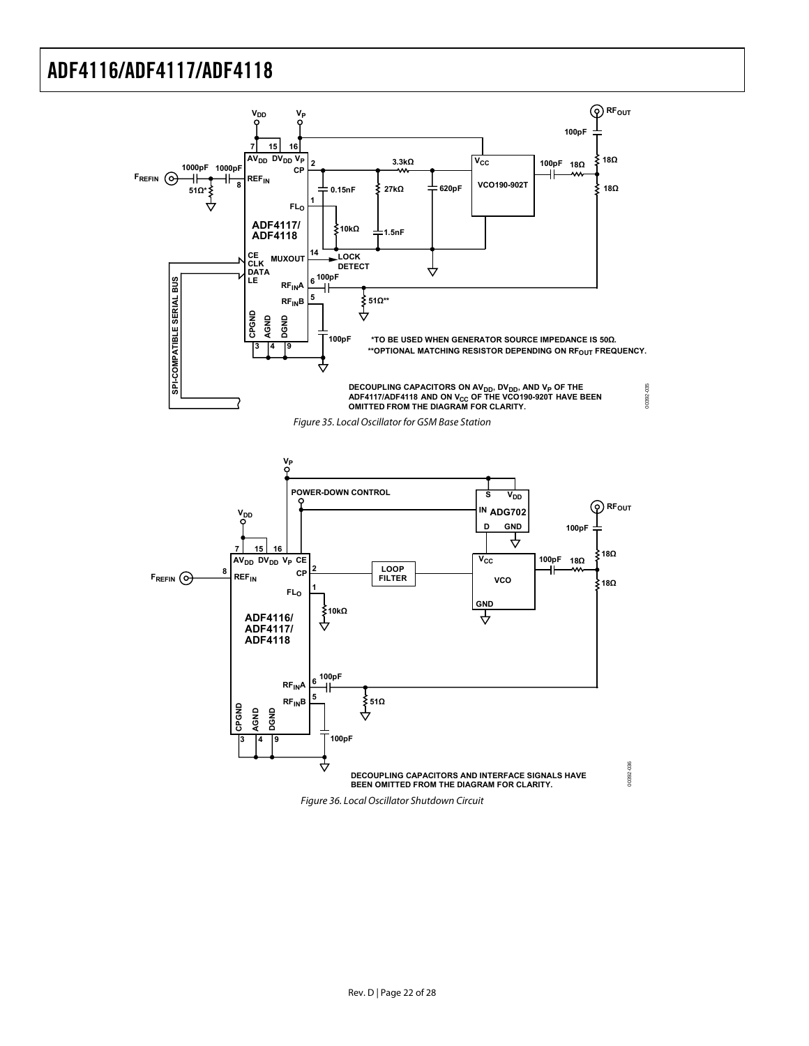<span id="page-21-2"></span><span id="page-21-1"></span><span id="page-21-0"></span>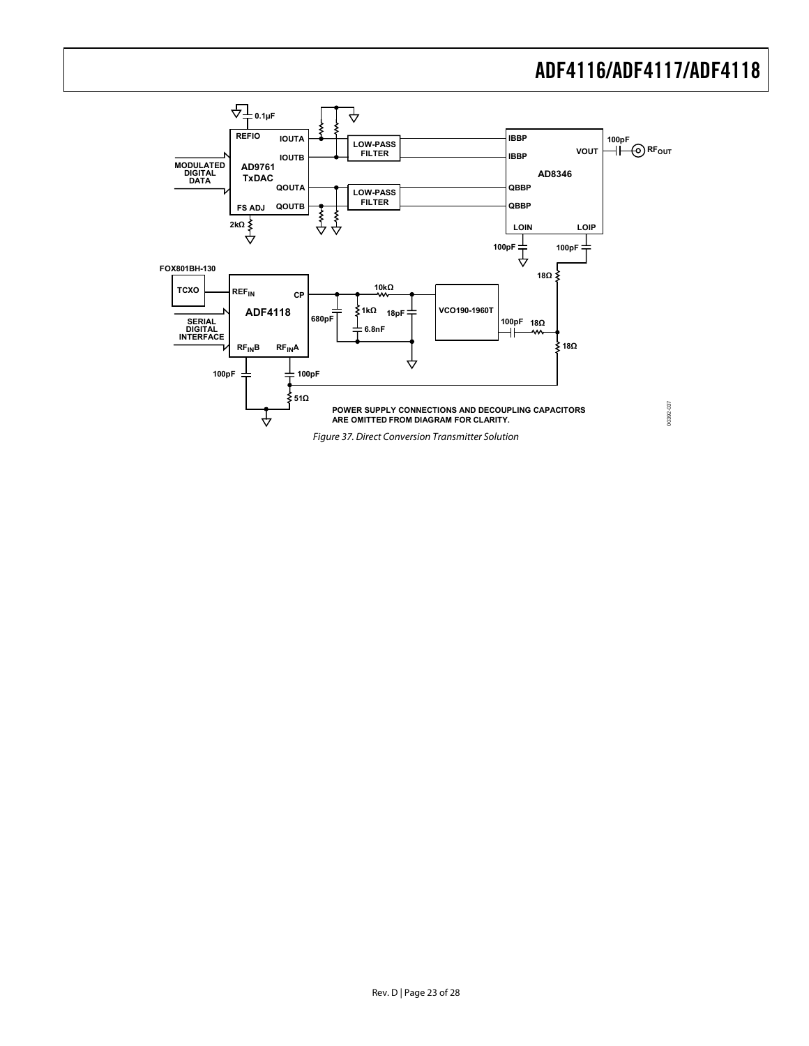

<span id="page-22-0"></span>Figure 37. Direct Conversion Transmitter Solution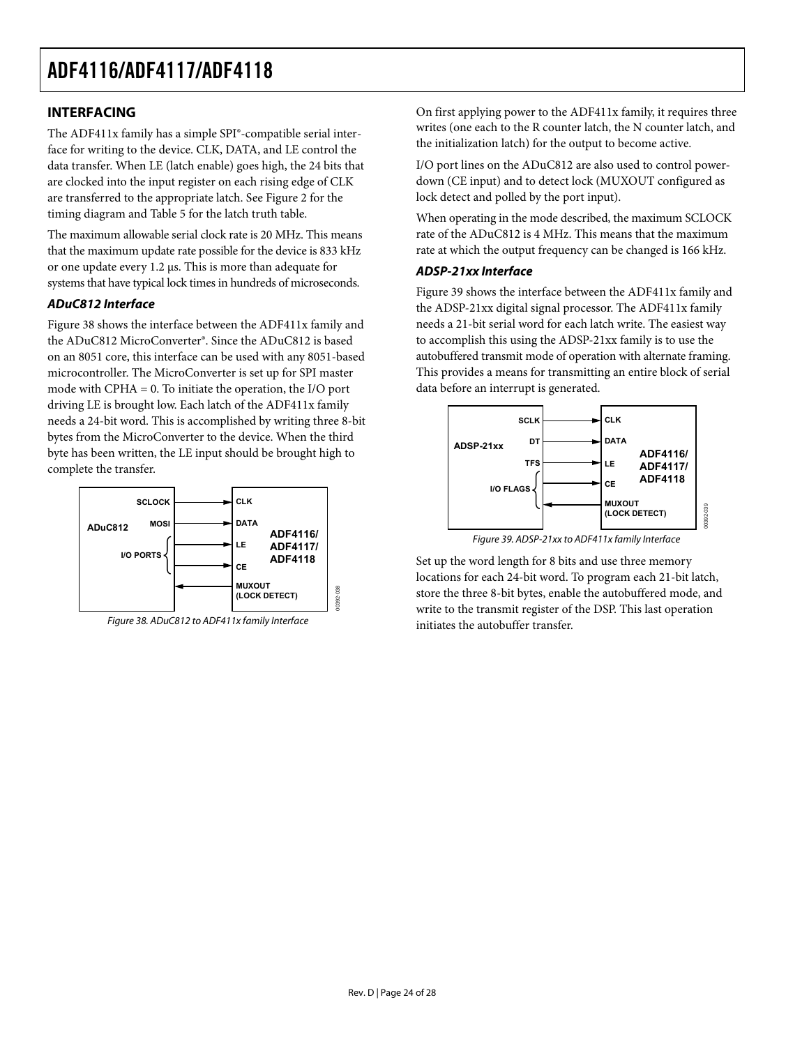### <span id="page-23-0"></span>**INTERFACING**

The ADF411x family has a simple SPI®-compatible serial interface for writing to the device. CLK, DATA, and LE control the data transfer. When LE (latch enable) goes high, the 24 bits that are clocked into the input register on each rising edge of CLK are transferred to the appropriate latch. See [Figure 2](#page-4-1) for the timing diagram and [Table 5](#page-12-3) for the latch truth table.

The maximum allowable serial clock rate is 20 MHz. This means that the maximum update rate possible for the device is 833 kHz or one update every 1.2 μs. This is more than adequate for systems that have typical lock times in hundreds of microseconds.

### **ADuC812 Interface**

[Figure 38](#page-23-1) shows the interface between the ADF411x family and the ADuC812 MicroConverter®. Since the ADuC812 is based on an 8051 core, this interface can be used with any 8051-based microcontroller. The MicroConverter is set up for SPI master mode with CPHA = 0. To initiate the operation, the I/O port driving LE is brought low. Each latch of the ADF411x family needs a 24-bit word. This is accomplished by writing three 8-bit bytes from the MicroConverter to the device. When the third byte has been written, the LE input should be brought high to complete the transfer.

<span id="page-23-2"></span>

<span id="page-23-1"></span>Figure 38. ADuC812 to ADF411x family Interface

On first applying power to the ADF411x family, it requires three writes (one each to the R counter latch, the N counter latch, and the initialization latch) for the output to become active.

I/O port lines on the ADuC812 are also used to control powerdown (CE input) and to detect lock (MUXOUT configured as lock detect and polled by the port input).

When operating in the mode described, the maximum SCLOCK rate of the ADuC812 is 4 MHz. This means that the maximum rate at which the output frequency can be changed is 166 kHz.

### **ADSP-21xx Interface**

[Figure 39](#page-23-2) shows the interface between the ADF411x family and the ADSP-21xx digital signal processor. The ADF411x family needs a 21-bit serial word for each latch write. The easiest way to accomplish this using the ADSP-21xx family is to use the autobuffered transmit mode of operation with alternate framing. This provides a means for transmitting an entire block of serial data before an interrupt is generated.



Figure 39. ADSP-21xx to ADF411x family Interface

Set up the word length for 8 bits and use three memory locations for each 24-bit word. To program each 21-bit latch, store the three 8-bit bytes, enable the autobuffered mode, and write to the transmit register of the DSP. This last operation initiates the autobuffer transfer.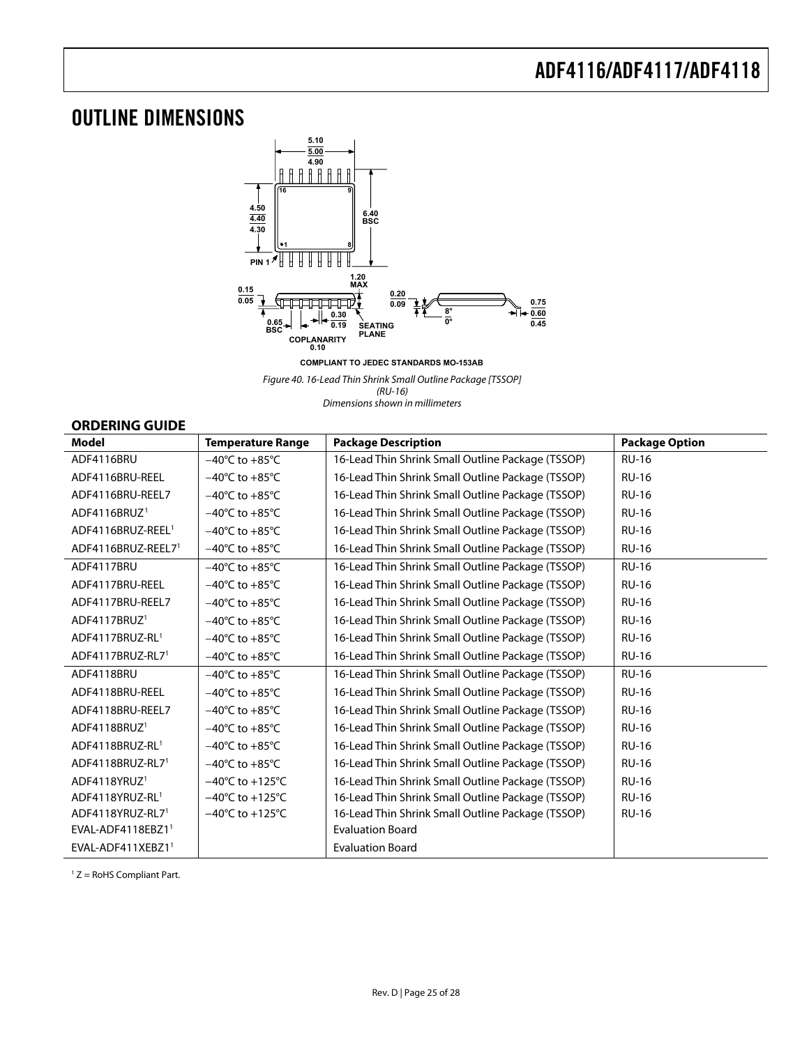## <span id="page-24-0"></span>OUTLINE DIMENSIONS



**COMPLIANT TO JEDEC STANDARDS MO-153AB**

Figure 40. 16-Lead Thin Shrink Small Outline Package [TSSOP] (RU-16) Dimensions shown in millimeters

## **ORDERING GUIDE**

<span id="page-24-1"></span>

| <b>Model</b>                  | <b>Temperature Range</b>            | <b>Package Description</b>                        | <b>Package Option</b> |
|-------------------------------|-------------------------------------|---------------------------------------------------|-----------------------|
| ADF4116BRU                    | $-40^{\circ}$ C to $+85^{\circ}$ C  | 16-Lead Thin Shrink Small Outline Package (TSSOP) | <b>RU-16</b>          |
| ADF4116BRU-REEL               | $-40^{\circ}$ C to $+85^{\circ}$ C  | 16-Lead Thin Shrink Small Outline Package (TSSOP) | <b>RU-16</b>          |
| ADF4116BRU-REEL7              | $-40^{\circ}$ C to $+85^{\circ}$ C  | 16-Lead Thin Shrink Small Outline Package (TSSOP) | <b>RU-16</b>          |
| ADF4116BRUZ <sup>1</sup>      | $-40^{\circ}$ C to $+85^{\circ}$ C  | 16-Lead Thin Shrink Small Outline Package (TSSOP) | <b>RU-16</b>          |
| ADF4116BRUZ-REEL <sup>1</sup> | $-40^{\circ}$ C to $+85^{\circ}$ C  | 16-Lead Thin Shrink Small Outline Package (TSSOP) | <b>RU-16</b>          |
| ADF4116BRUZ-REEL71            | $-40^{\circ}$ C to $+85^{\circ}$ C  | 16-Lead Thin Shrink Small Outline Package (TSSOP) | <b>RU-16</b>          |
| ADF4117BRU                    | $-40^{\circ}$ C to $+85^{\circ}$ C  | 16-Lead Thin Shrink Small Outline Package (TSSOP) | <b>RU-16</b>          |
| ADF4117BRU-REEL               | $-40^{\circ}$ C to $+85^{\circ}$ C  | 16-Lead Thin Shrink Small Outline Package (TSSOP) | <b>RU-16</b>          |
| ADF4117BRU-REEL7              | $-40^{\circ}$ C to $+85^{\circ}$ C  | 16-Lead Thin Shrink Small Outline Package (TSSOP) | <b>RU-16</b>          |
| ADF4117BRUZ <sup>1</sup>      | $-40^{\circ}$ C to $+85^{\circ}$ C  | 16-Lead Thin Shrink Small Outline Package (TSSOP) | <b>RU-16</b>          |
| ADF4117BRUZ-RL1               | $-40^{\circ}$ C to $+85^{\circ}$ C  | 16-Lead Thin Shrink Small Outline Package (TSSOP) | <b>RU-16</b>          |
| ADF4117BRUZ-RL7 <sup>1</sup>  | $-40^{\circ}$ C to $+85^{\circ}$ C  | 16-Lead Thin Shrink Small Outline Package (TSSOP) | <b>RU-16</b>          |
| ADF4118BRU                    | $-40^{\circ}$ C to $+85^{\circ}$ C  | 16-Lead Thin Shrink Small Outline Package (TSSOP) | <b>RU-16</b>          |
| ADF4118BRU-REEL               | $-40^{\circ}$ C to $+85^{\circ}$ C  | 16-Lead Thin Shrink Small Outline Package (TSSOP) | <b>RU-16</b>          |
| ADF4118BRU-REEL7              | $-40^{\circ}$ C to $+85^{\circ}$ C  | 16-Lead Thin Shrink Small Outline Package (TSSOP) | <b>RU-16</b>          |
| ADF4118BRUZ <sup>1</sup>      | $-40^{\circ}$ C to $+85^{\circ}$ C  | 16-Lead Thin Shrink Small Outline Package (TSSOP) | <b>RU-16</b>          |
| ADF4118BRUZ-RL1               | $-40^{\circ}$ C to $+85^{\circ}$ C  | 16-Lead Thin Shrink Small Outline Package (TSSOP) | <b>RU-16</b>          |
| ADF4118BRUZ-RL71              | $-40^{\circ}$ C to $+85^{\circ}$ C  | 16-Lead Thin Shrink Small Outline Package (TSSOP) | <b>RU-16</b>          |
| ADF4118YRUZ <sup>1</sup>      | $-40^{\circ}$ C to $+125^{\circ}$ C | 16-Lead Thin Shrink Small Outline Package (TSSOP) | <b>RU-16</b>          |
| ADF4118YRUZ-RL1               | $-40^{\circ}$ C to $+125^{\circ}$ C | 16-Lead Thin Shrink Small Outline Package (TSSOP) | <b>RU-16</b>          |
| ADF4118YRUZ-RL7 <sup>1</sup>  | $-40^{\circ}$ C to $+125^{\circ}$ C | 16-Lead Thin Shrink Small Outline Package (TSSOP) | <b>RU-16</b>          |
| EVAL-ADF4118EBZ11             |                                     | <b>Evaluation Board</b>                           |                       |
| EVAL-ADF411XEBZ11             |                                     | <b>Evaluation Board</b>                           |                       |

1 Z = RoHS Compliant Part.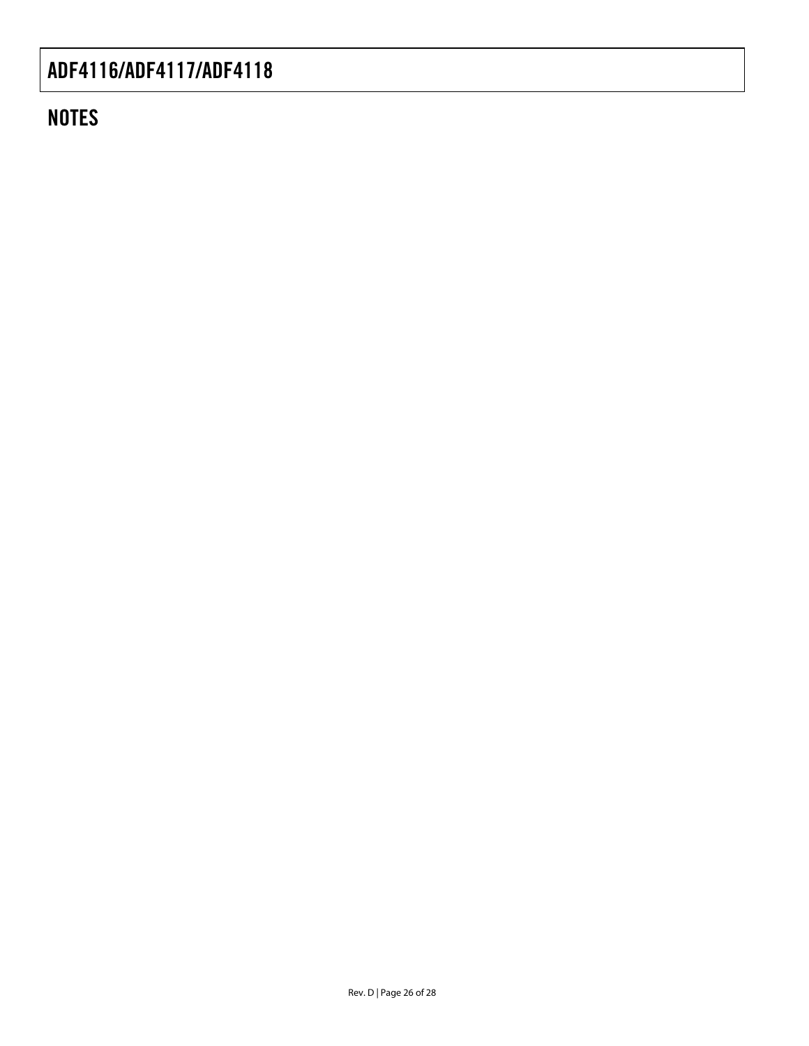# **NOTES**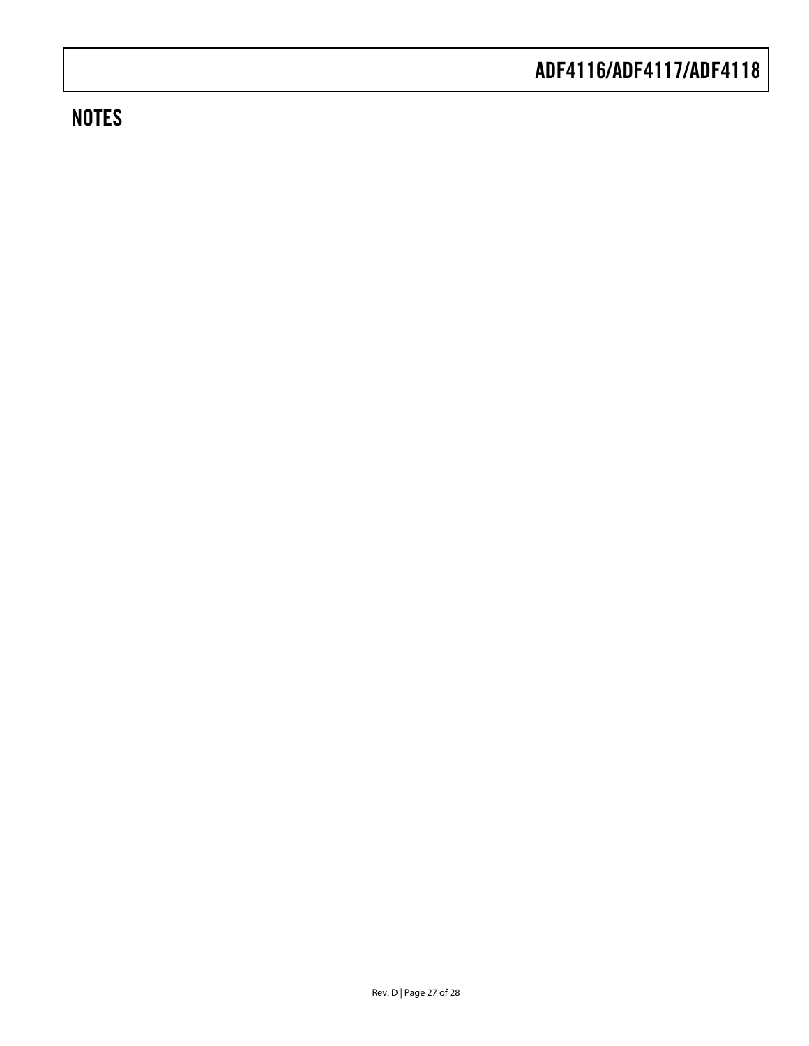# **NOTES**